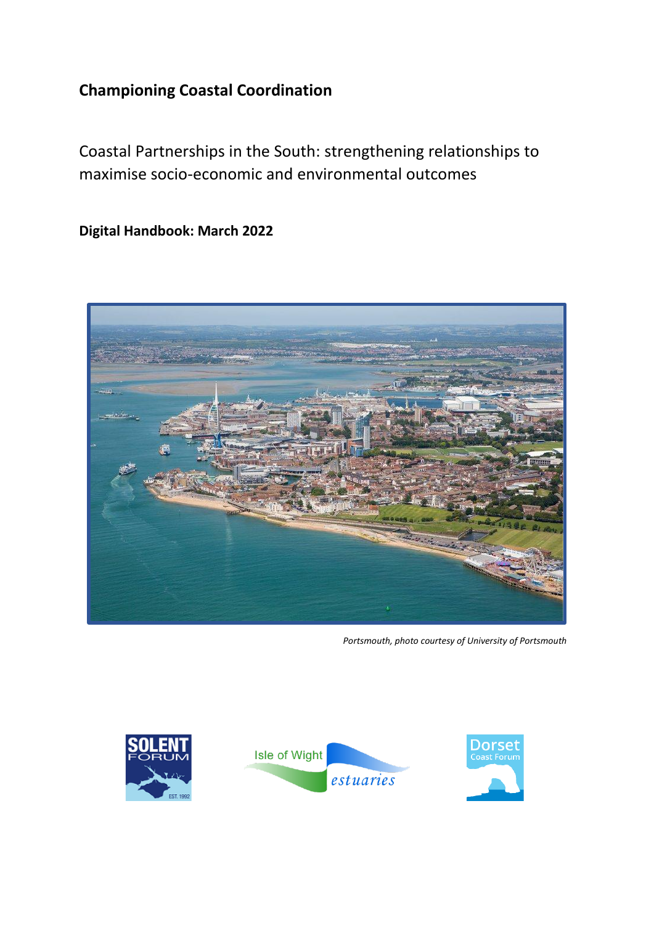# **Championing Coastal Coordination**

Coastal Partnerships in the South: strengthening relationships to maximise socio-economic and environmental outcomes

**Digital Handbook: March 2022**



*Portsmouth, photo courtesy of University of Portsmouth*

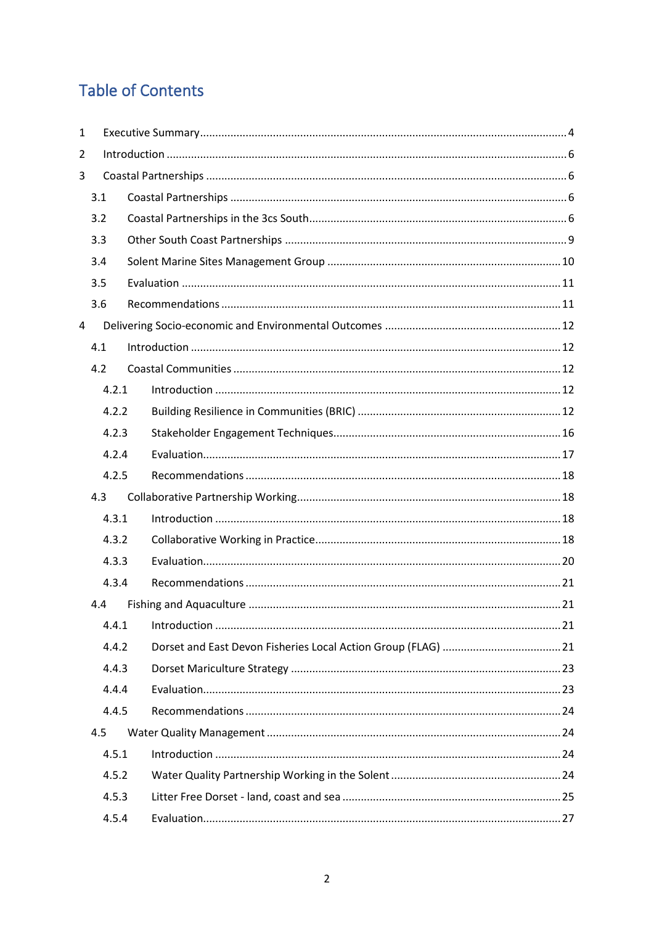# **Table of Contents**

| 1 |       |  |
|---|-------|--|
| 2 |       |  |
| 3 |       |  |
|   | 3.1   |  |
|   | 3.2   |  |
|   | 3.3   |  |
|   | 3.4   |  |
|   | 3.5   |  |
|   | 3.6   |  |
| 4 |       |  |
|   | 4.1   |  |
|   | 4.2   |  |
|   | 4.2.1 |  |
|   | 4.2.2 |  |
|   | 4.2.3 |  |
|   | 4.2.4 |  |
|   | 4.2.5 |  |
|   | 4.3   |  |
|   | 4.3.1 |  |
|   | 4.3.2 |  |
|   | 4.3.3 |  |
|   | 4.3.4 |  |
|   | 4.4   |  |
|   | 4.4.1 |  |
|   | 4.4.2 |  |
|   | 4.4.3 |  |
|   | 4.4.4 |  |
|   | 4.4.5 |  |
|   | 4.5   |  |
|   | 4.5.1 |  |
|   | 4.5.2 |  |
|   | 4.5.3 |  |
|   | 4.5.4 |  |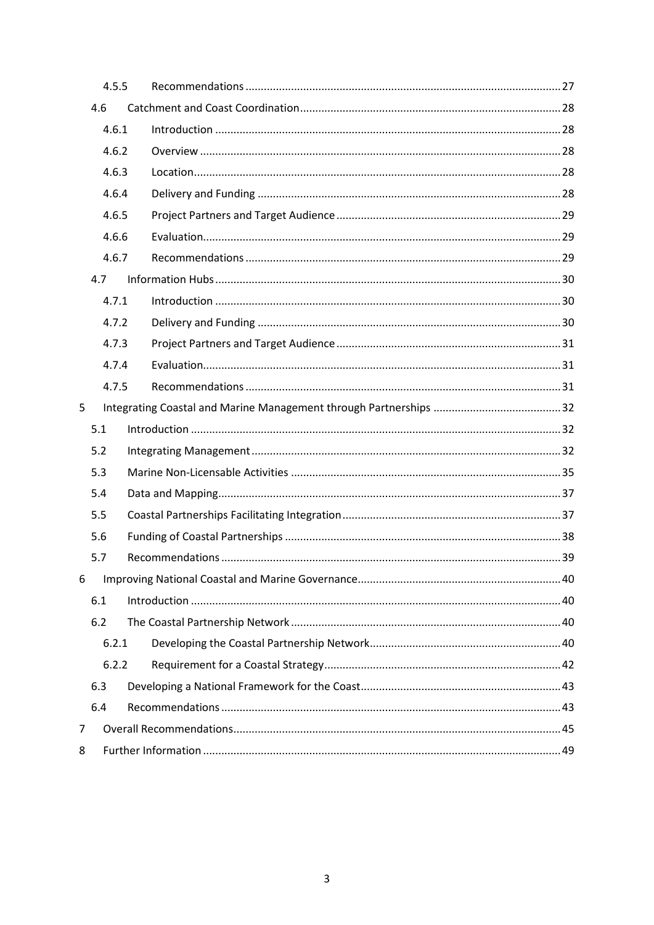|   | 4.5.5 |  |  |
|---|-------|--|--|
|   | 4.6   |  |  |
|   | 4.6.1 |  |  |
|   | 4.6.2 |  |  |
|   | 4.6.3 |  |  |
|   | 4.6.4 |  |  |
|   | 4.6.5 |  |  |
|   | 4.6.6 |  |  |
|   | 4.6.7 |  |  |
|   | 4.7   |  |  |
|   | 4.7.1 |  |  |
|   | 4.7.2 |  |  |
|   | 4.7.3 |  |  |
|   | 4.7.4 |  |  |
|   | 4.7.5 |  |  |
| 5 |       |  |  |
|   | 5.1   |  |  |
|   | 5.2   |  |  |
|   | 5.3   |  |  |
|   | 5.4   |  |  |
|   | 5.5   |  |  |
|   | 5.6   |  |  |
|   | 5.7   |  |  |
| 6 |       |  |  |
|   | 6.1   |  |  |
|   | 6.2   |  |  |
|   | 6.2.1 |  |  |
|   | 6.2.2 |  |  |
|   | 6.3   |  |  |
|   | 6.4   |  |  |
| 7 |       |  |  |
| 8 |       |  |  |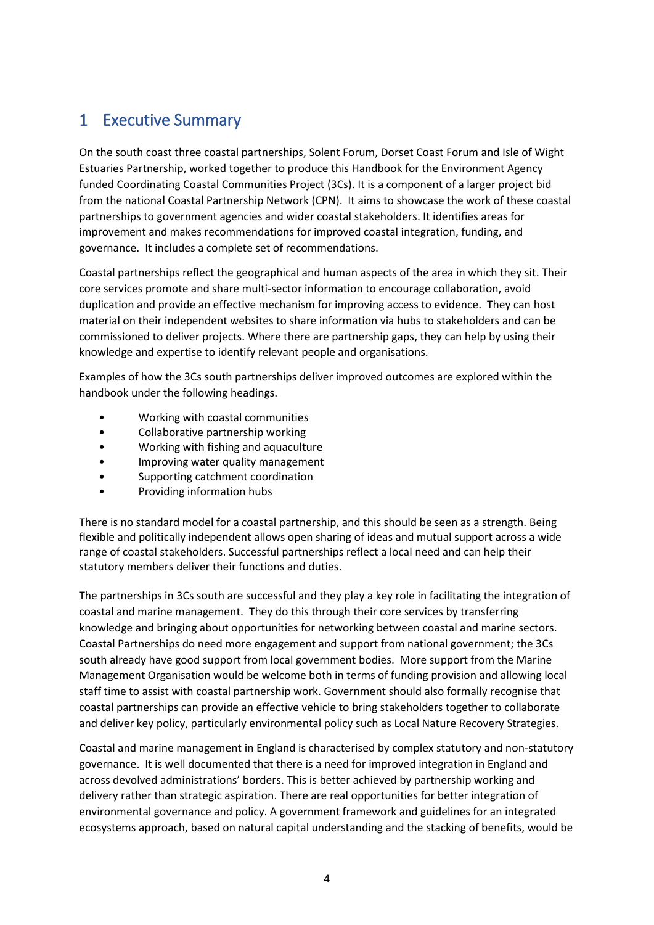# <span id="page-3-0"></span>1 Executive Summary

On the south coast three coastal partnerships, Solent Forum, Dorset Coast Forum and Isle of Wight Estuaries Partnership, worked together to produce this Handbook for the Environment Agency funded Coordinating Coastal Communities Project (3Cs). It is a component of a larger project bid from the national Coastal Partnership Network (CPN). It aims to showcase the work of these coastal partnerships to government agencies and wider coastal stakeholders. It identifies areas for improvement and makes recommendations for improved coastal integration, funding, and governance. It includes a complete set of recommendations.

Coastal partnerships reflect the geographical and human aspects of the area in which they sit. Their core services promote and share multi-sector information to encourage collaboration, avoid duplication and provide an effective mechanism for improving access to evidence. They can host material on their independent websites to share information via hubs to stakeholders and can be commissioned to deliver projects. Where there are partnership gaps, they can help by using their knowledge and expertise to identify relevant people and organisations.

Examples of how the 3Cs south partnerships deliver improved outcomes are explored within the handbook under the following headings.

- Working with coastal communities
- Collaborative partnership working
- Working with fishing and aquaculture
- Improving water quality management
- Supporting catchment coordination
- Providing information hubs

There is no standard model for a coastal partnership, and this should be seen as a strength. Being flexible and politically independent allows open sharing of ideas and mutual support across a wide range of coastal stakeholders. Successful partnerships reflect a local need and can help their statutory members deliver their functions and duties.

The partnerships in 3Cs south are successful and they play a key role in facilitating the integration of coastal and marine management. They do this through their core services by transferring knowledge and bringing about opportunities for networking between coastal and marine sectors. Coastal Partnerships do need more engagement and support from national government; the 3Cs south already have good support from local government bodies. More support from the Marine Management Organisation would be welcome both in terms of funding provision and allowing local staff time to assist with coastal partnership work. Government should also formally recognise that coastal partnerships can provide an effective vehicle to bring stakeholders together to collaborate and deliver key policy, particularly environmental policy such as Local Nature Recovery Strategies.

Coastal and marine management in England is characterised by complex statutory and non-statutory governance. It is well documented that there is a need for improved integration in England and across devolved administrations' borders. This is better achieved by partnership working and delivery rather than strategic aspiration. There are real opportunities for better integration of environmental governance and policy. A government framework and guidelines for an integrated ecosystems approach, based on natural capital understanding and the stacking of benefits, would be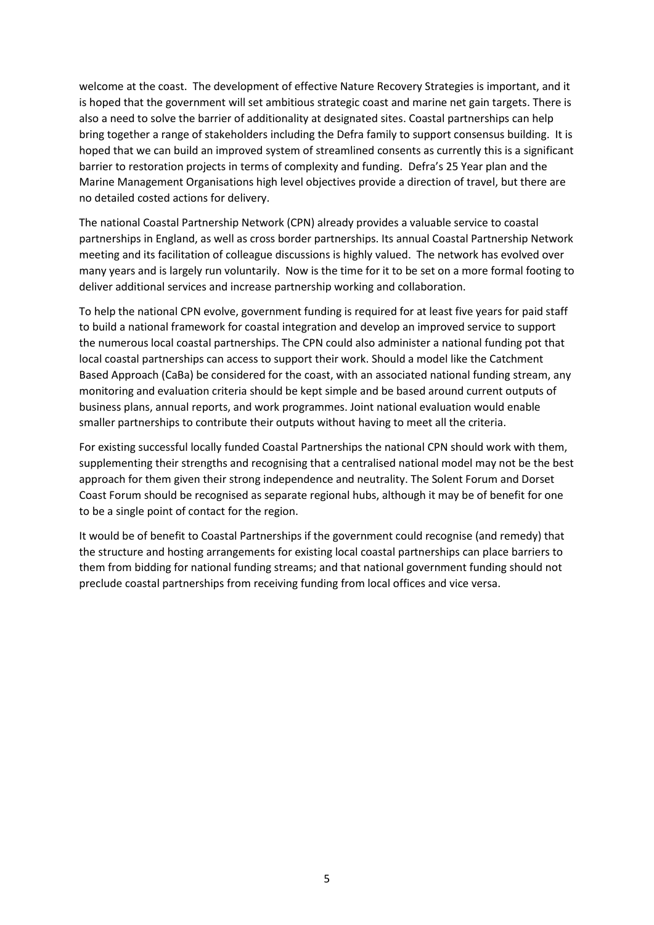welcome at the coast. The development of effective Nature Recovery Strategies is important, and it is hoped that the government will set ambitious strategic coast and marine net gain targets. There is also a need to solve the barrier of additionality at designated sites. Coastal partnerships can help bring together a range of stakeholders including the Defra family to support consensus building. It is hoped that we can build an improved system of streamlined consents as currently this is a significant barrier to restoration projects in terms of complexity and funding. Defra's 25 Year plan and the Marine Management Organisations high level objectives provide a direction of travel, but there are no detailed costed actions for delivery.

The national Coastal Partnership Network (CPN) already provides a valuable service to coastal partnerships in England, as well as cross border partnerships. Its annual Coastal Partnership Network meeting and its facilitation of colleague discussions is highly valued. The network has evolved over many years and is largely run voluntarily. Now is the time for it to be set on a more formal footing to deliver additional services and increase partnership working and collaboration.

To help the national CPN evolve, government funding is required for at least five years for paid staff to build a national framework for coastal integration and develop an improved service to support the numerous local coastal partnerships. The CPN could also administer a national funding pot that local coastal partnerships can access to support their work. Should a model like the Catchment Based Approach (CaBa) be considered for the coast, with an associated national funding stream, any monitoring and evaluation criteria should be kept simple and be based around current outputs of business plans, annual reports, and work programmes. Joint national evaluation would enable smaller partnerships to contribute their outputs without having to meet all the criteria.

For existing successful locally funded Coastal Partnerships the national CPN should work with them, supplementing their strengths and recognising that a centralised national model may not be the best approach for them given their strong independence and neutrality. The Solent Forum and Dorset Coast Forum should be recognised as separate regional hubs, although it may be of benefit for one to be a single point of contact for the region.

It would be of benefit to Coastal Partnerships if the government could recognise (and remedy) that the structure and hosting arrangements for existing local coastal partnerships can place barriers to them from bidding for national funding streams; and that national government funding should not preclude coastal partnerships from receiving funding from local offices and vice versa.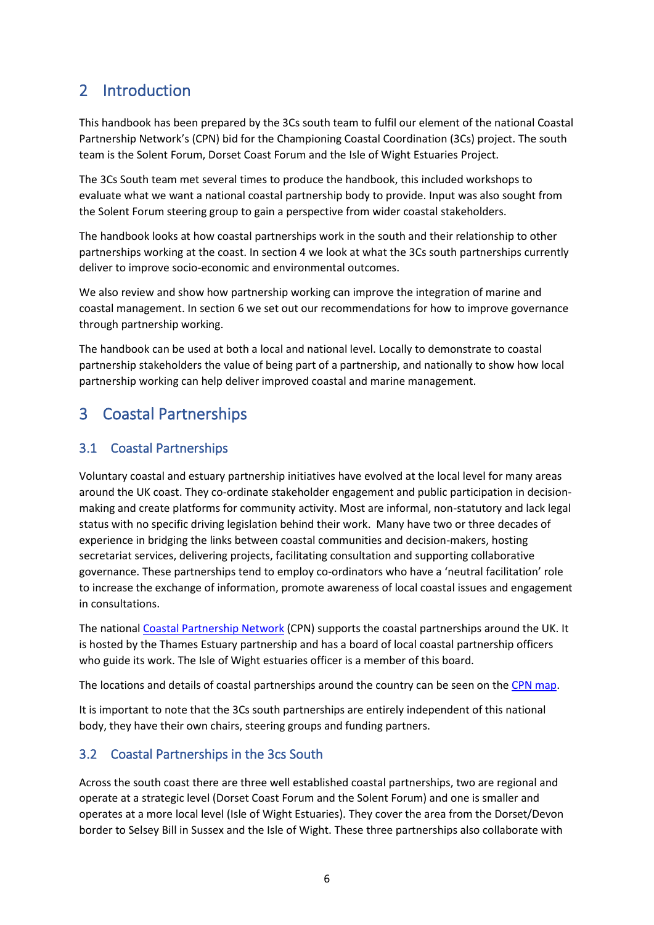# <span id="page-5-0"></span>2 Introduction

This handbook has been prepared by the 3Cs south team to fulfil our element of the national Coastal Partnership Network's (CPN) bid for the Championing Coastal Coordination (3Cs) project. The south team is the Solent Forum, Dorset Coast Forum and the Isle of Wight Estuaries Project.

The 3Cs South team met several times to produce the handbook, this included workshops to evaluate what we want a national coastal partnership body to provide. Input was also sought from the Solent Forum steering group to gain a perspective from wider coastal stakeholders.

The handbook looks at how coastal partnerships work in the south and their relationship to other partnerships working at the coast. In section 4 we look at what the 3Cs south partnerships currently deliver to improve socio-economic and environmental outcomes.

We also review and show how partnership working can improve the integration of marine and coastal management. In section 6 we set out our recommendations for how to improve governance through partnership working.

The handbook can be used at both a local and national level. Locally to demonstrate to coastal partnership stakeholders the value of being part of a partnership, and nationally to show how local partnership working can help deliver improved coastal and marine management.

# <span id="page-5-1"></span>3 Coastal Partnerships

# <span id="page-5-2"></span>3.1 Coastal Partnerships

Voluntary coastal and estuary partnership initiatives have evolved at the local level for many areas around the UK coast. They co-ordinate stakeholder engagement and public participation in decisionmaking and create platforms for community activity. Most are informal, non-statutory and lack legal status with no specific driving legislation behind their work. Many have two or three decades of experience in bridging the links between coastal communities and decision-makers, hosting secretariat services, delivering projects, facilitating consultation and supporting collaborative governance. These partnerships tend to employ co-ordinators who have a 'neutral facilitation' role to increase the exchange of information, promote awareness of local coastal issues and engagement in consultations.

The national [Coastal Partnership Network](http://www.coastalpartnershipsnetwork.org.uk/) (CPN) supports the coastal partnerships around the UK. It is hosted by the Thames Estuary partnership and has a board of local coastal partnership officers who guide its work. The Isle of Wight estuaries officer is a member of this board.

The locations and details of coastal partnerships around the country can be seen on the [CPN map.](http://www.coastalpartnershipsnetwork.org.uk/coastal-partnerships)

It is important to note that the 3Cs south partnerships are entirely independent of this national body, they have their own chairs, steering groups and funding partners.

# <span id="page-5-3"></span>3.2 Coastal Partnerships in the 3cs South

Across the south coast there are three well established coastal partnerships, two are regional and operate at a strategic level (Dorset Coast Forum and the Solent Forum) and one is smaller and operates at a more local level (Isle of Wight Estuaries). They cover the area from the Dorset/Devon border to Selsey Bill in Sussex and the Isle of Wight. These three partnerships also collaborate with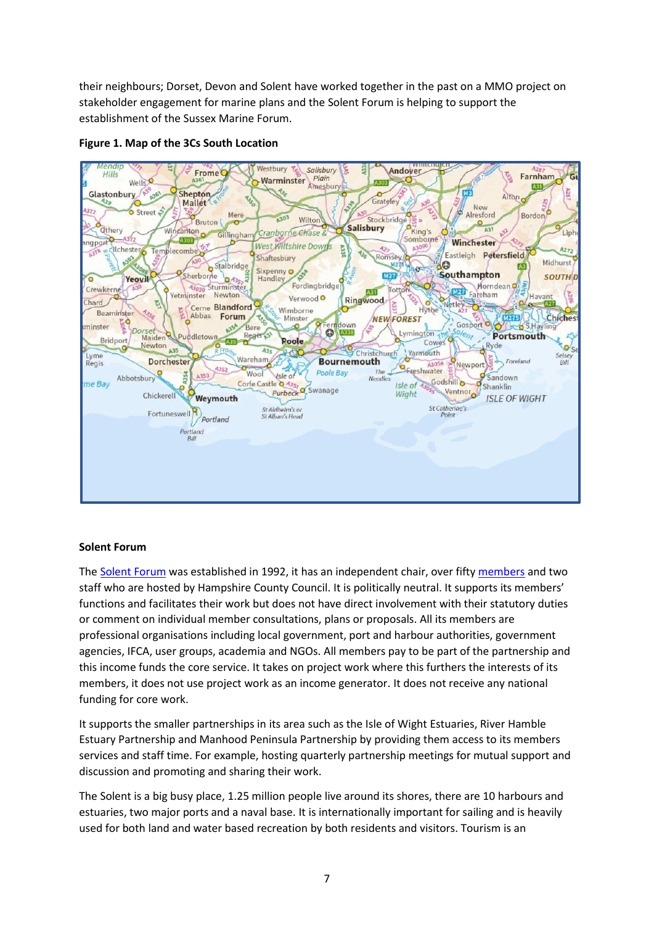their neighbours; Dorset, Devon and Solent have worked together in the past on a MMO project on stakeholder engagement for marine plans and the Solent Forum is helping to support the establishment of the Sussex Marine Forum.



#### **Figure 1. Map of the 3Cs South Location**

#### **Solent Forum**

The [Solent Forum](http://www.solentforum.org/) was established in 1992, it has an independent chair, over fifty [members](http://www.solentforum.org/membership/members/Members_directory/) and two staff who are hosted by Hampshire County Council. It is politically neutral. It supports its members' functions and facilitates their work but does not have direct involvement with their statutory duties or comment on individual member consultations, plans or proposals. All its members are professional organisations including local government, port and harbour authorities, government agencies, IFCA, user groups, academia and NGOs. All members pay to be part of the partnership and this income funds the core service. It takes on project work where this furthers the interests of its members, it does not use project work as an income generator. It does not receive any national funding for core work.

It supports the smaller partnerships in its area such as the Isle of Wight Estuaries, River Hamble Estuary Partnership and Manhood Peninsula Partnership by providing them access to its members services and staff time. For example, hosting quarterly partnership meetings for mutual support and discussion and promoting and sharing their work.

The Solent is a big busy place, 1.25 million people live around its shores, there are 10 harbours and estuaries, two major ports and a naval base. It is internationally important for sailing and is heavily used for both land and water based recreation by both residents and visitors. Tourism is an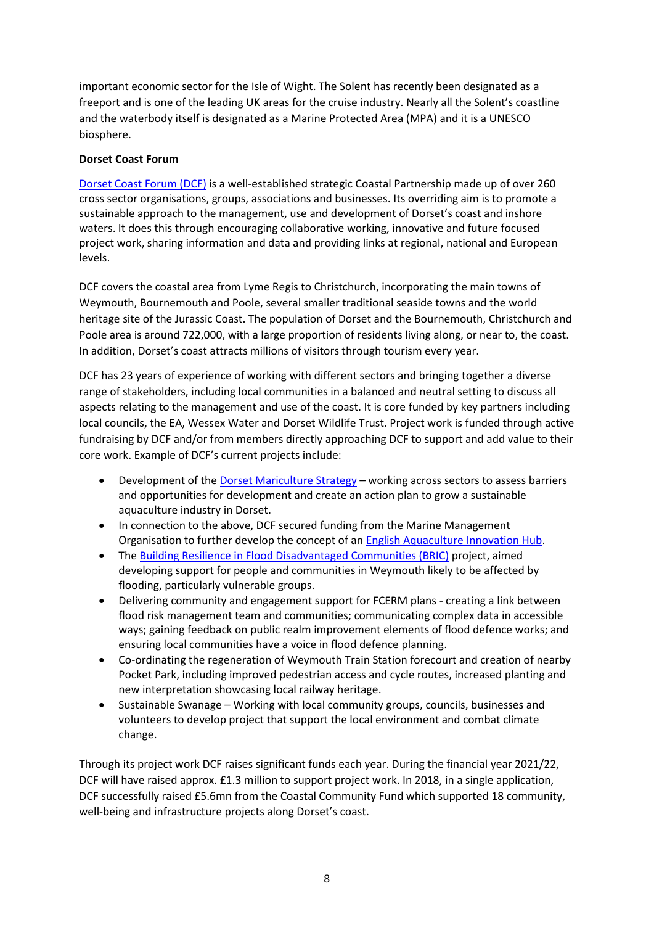important economic sector for the Isle of Wight. The Solent has recently been designated as a freeport and is one of the leading UK areas for the cruise industry. Nearly all the Solent's coastline and the waterbody itself is designated as a Marine Protected Area (MPA) and it is a UNESCO biosphere.

### **Dorset Coast Forum**

[Dorset Coast Forum \(DCF\)](https://www.dorsetcoast.com/) is a well-established strategic Coastal Partnership made up of over 260 cross sector organisations, groups, associations and businesses. Its overriding aim is to promote a sustainable approach to the management, use and development of Dorset's coast and inshore waters. It does this through encouraging collaborative working, innovative and future focused project work, sharing information and data and providing links at regional, national and European levels.

DCF covers the coastal area from Lyme Regis to Christchurch, incorporating the main towns of Weymouth, Bournemouth and Poole, several smaller traditional seaside towns and the world heritage site of the Jurassic Coast. The population of Dorset and the Bournemouth, Christchurch and Poole area is around 722,000, with a large proportion of residents living along, or near to, the coast. In addition, Dorset's coast attracts millions of visitors through tourism every year.

DCF has 23 years of experience of working with different sectors and bringing together a diverse range of stakeholders, including local communities in a balanced and neutral setting to discuss all aspects relating to the management and use of the coast. It is core funded by key partners including local councils, the EA, Wessex Water and Dorset Wildlife Trust. Project work is funded through active fundraising by DCF and/or from members directly approaching DCF to support and add value to their core work. Example of DCF's current projects include:

- Development of the [Dorset Mariculture Strategy](https://www.dorsetcoast.com/projects/aquaculture/) working across sectors to assess barriers and opportunities for development and create an action plan to grow a sustainable aquaculture industry in Dorset.
- In connection to the above, DCF secured funding from the Marine Management Organisation to further develop the concept of an [English Aquaculture Innovation Hub.](https://www.dorsetcoasthaveyoursay.co.uk/english-aquaculture-innovation-centre)
- The [Building Resilience in Flood Disadvantaged Communities \(BRIC\)](https://www.dorsetcoast.com/projects/weymouth-bric/) project, aimed developing support for people and communities in Weymouth likely to be affected by flooding, particularly vulnerable groups.
- Delivering community and engagement support for FCERM plans creating a link between flood risk management team and communities; communicating complex data in accessible ways; gaining feedback on public realm improvement elements of flood defence works; and ensuring local communities have a voice in flood defence planning.
- Co-ordinating the regeneration of Weymouth Train Station forecourt and creation of nearby Pocket Park, including improved pedestrian access and cycle routes, increased planting and new interpretation showcasing local railway heritage.
- Sustainable Swanage Working with local community groups, councils, businesses and volunteers to develop project that support the local environment and combat climate change.

Through its project work DCF raises significant funds each year. During the financial year 2021/22, DCF will have raised approx. £1.3 million to support project work. In 2018, in a single application, DCF successfully raised £5.6mn from the Coastal Community Fund which supported 18 community, well-being and infrastructure projects along Dorset's coast.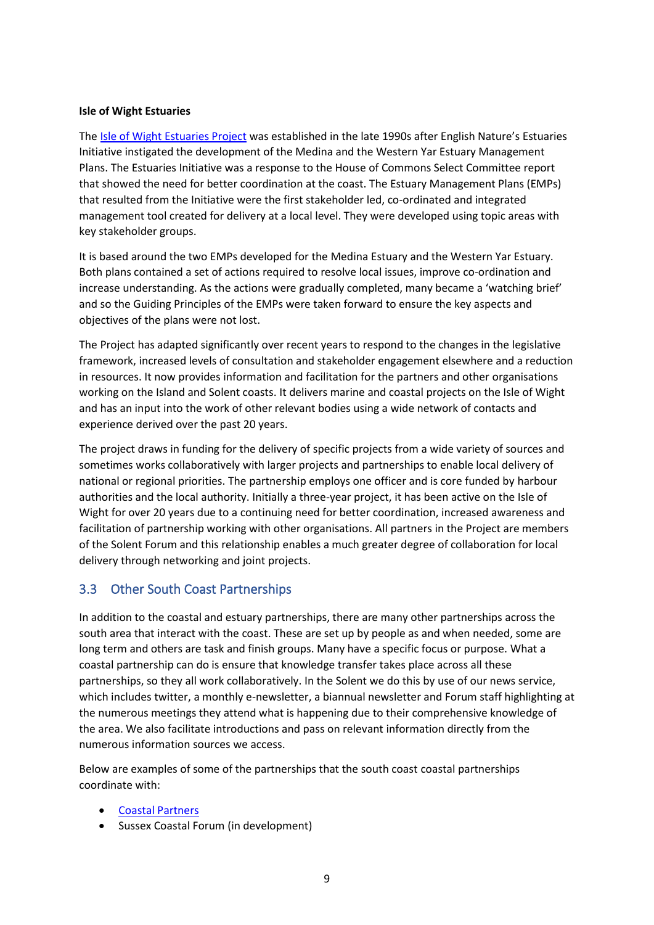#### **Isle of Wight Estuaries**

The [Isle of Wight Estuaries Project](https://www.iow.gov.uk/council/OtherServices/Estuaries-Project/Isle-of-Wight-Estuaries-Project) was established in the late 1990s after English Nature's Estuaries Initiative instigated the development of the Medina and the Western Yar Estuary Management Plans. The Estuaries Initiative was a response to the House of Commons Select Committee report that showed the need for better coordination at the coast. The Estuary Management Plans (EMPs) that resulted from the Initiative were the first stakeholder led, co-ordinated and integrated management tool created for delivery at a local level. They were developed using topic areas with key stakeholder groups.

It is based around the two EMPs developed for the Medina Estuary and the Western Yar Estuary. Both plans contained a set of actions required to resolve local issues, improve co-ordination and increase understanding. As the actions were gradually completed, many became a 'watching brief' and so the Guiding Principles of the EMPs were taken forward to ensure the key aspects and objectives of the plans were not lost.

The Project has adapted significantly over recent years to respond to the changes in the legislative framework, increased levels of consultation and stakeholder engagement elsewhere and a reduction in resources. It now provides information and facilitation for the partners and other organisations working on the Island and Solent coasts. It delivers marine and coastal projects on the Isle of Wight and has an input into the work of other relevant bodies using a wide network of contacts and experience derived over the past 20 years.

The project draws in funding for the delivery of specific projects from a wide variety of sources and sometimes works collaboratively with larger projects and partnerships to enable local delivery of national or regional priorities. The partnership employs one officer and is core funded by harbour authorities and the local authority. Initially a three-year project, it has been active on the Isle of Wight for over 20 years due to a continuing need for better coordination, increased awareness and facilitation of partnership working with other organisations. All partners in the Project are members of the Solent Forum and this relationship enables a much greater degree of collaboration for local delivery through networking and joint projects.

### <span id="page-8-0"></span>3.3 Other South Coast Partnerships

In addition to the coastal and estuary partnerships, there are many other partnerships across the south area that interact with the coast. These are set up by people as and when needed, some are long term and others are task and finish groups. Many have a specific focus or purpose. What a coastal partnership can do is ensure that knowledge transfer takes place across all these partnerships, so they all work collaboratively. In the Solent we do this by use of our news service, which includes twitter, a monthly e-newsletter, a biannual newsletter and Forum staff highlighting at the numerous meetings they attend what is happening due to their comprehensive knowledge of the area. We also facilitate introductions and pass on relevant information directly from the numerous information sources we access.

Below are examples of some of the partnerships that the south coast coastal partnerships coordinate with:

- [Coastal Partners](https://coastalpartners.org.uk/)
- Sussex Coastal Forum (in development)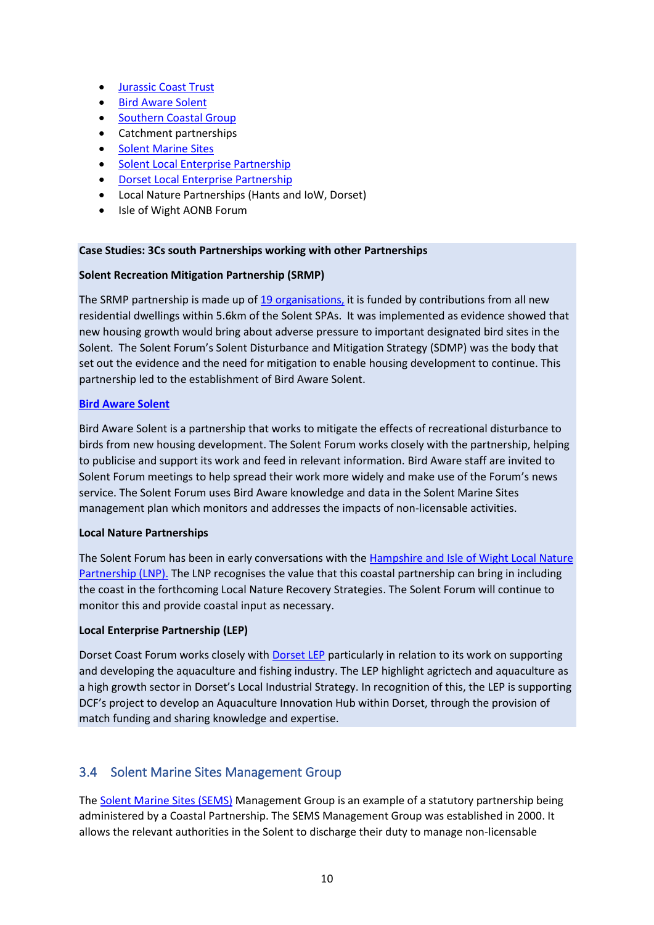- [Jurassic Coast Trust](https://jurassiccoast.org/)
- [Bird Aware](https://birdaware.org/solent/) Solent
- [Southern Coastal Group](https://southerncoastalgroup-scopac.org.uk/)
- Catchment partnerships
- [Solent Marine Sites](http://www.solentems.org.uk/sems/)
- [Solent Local Enterprise Partnership](https://solentlep.org.uk/)
- [Dorset Local Enterprise Partnership](https://www.dorsetlep.co.uk/)
- Local Nature Partnerships (Hants and IoW, Dorset)
- Isle of Wight AONB Forum

#### **Case Studies: 3Cs south Partnerships working with other Partnerships**

#### **Solent Recreation Mitigation Partnership (SRMP)**

The SRMP partnership is made up of  $19$  organisations, it is funded by contributions from all new residential dwellings within 5.6km of the Solent SPAs. It was implemented as evidence showed that new housing growth would bring about adverse pressure to important designated bird sites in the Solent. The Solent Forum's Solent Disturbance and Mitigation Strategy (SDMP) was the body that set out the evidence and the need for mitigation to enable housing development to continue. This partnership led to the establishment of Bird Aware Solent.

#### **[Bird Aware Solent](https://birdaware.org/)**

Bird Aware Solent is a partnership that works to mitigate the effects of recreational disturbance to birds from new housing development. The Solent Forum works closely with the partnership, helping to publicise and support its work and feed in relevant information. Bird Aware staff are invited to Solent Forum meetings to help spread their work more widely and make use of the Forum's news service. The Solent Forum uses Bird Aware knowledge and data in the Solent Marine Sites management plan which monitors and addresses the impacts of non-licensable activities.

#### **Local Nature Partnerships**

The Solent Forum has been in early conversations with the Hampshire and Isle of Wight Local Nature [Partnership \(LNP\).](https://hantswightlnp.wordpress.com/) The LNP recognises the value that this coastal partnership can bring in including the coast in the forthcoming Local Nature Recovery Strategies. The Solent Forum will continue to monitor this and provide coastal input as necessary.

#### **Local Enterprise Partnership (LEP)**

Dorset Coast Forum works closely with [Dorset LEP](https://www.dorsetlep.co.uk/) particularly in relation to its work on supporting and developing the aquaculture and fishing industry. The LEP highlight agrictech and aquaculture as a high growth sector in Dorset's Local Industrial Strategy. In recognition of this, the LEP is supporting DCF's project to develop an Aquaculture Innovation Hub within Dorset, through the provision of match funding and sharing knowledge and expertise.

### <span id="page-9-0"></span>3.4 Solent Marine Sites Management Group

The [Solent Marine Sites \(SEMS\)](http://www.solentems.org.uk/sems/) Management Group is an example of a statutory partnership being administered by a Coastal Partnership. The SEMS Management Group was established in 2000. It allows the relevant authorities in the Solent to discharge their duty to manage non-licensable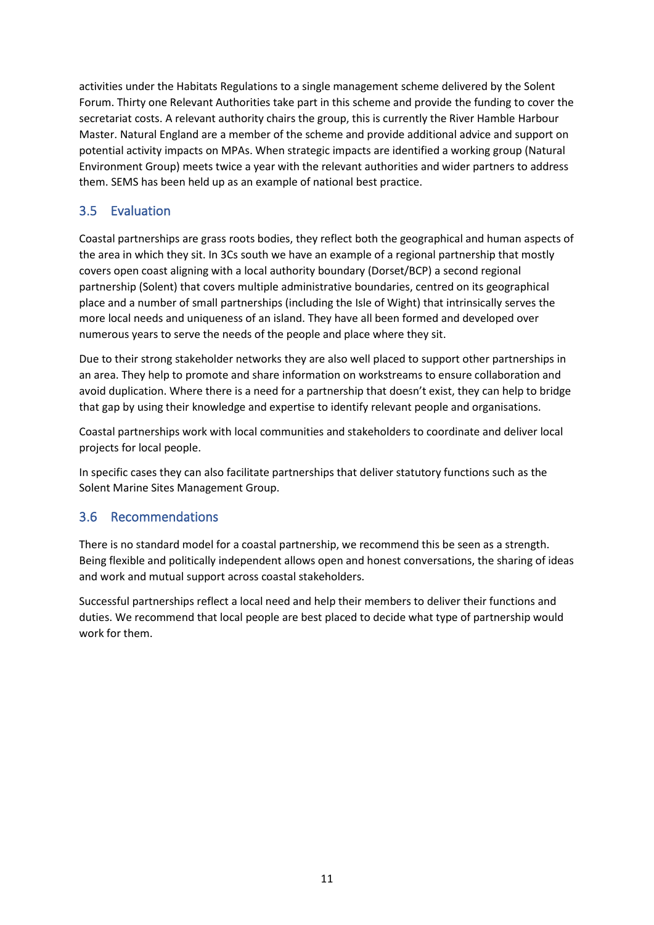activities under the Habitats Regulations to a single management scheme delivered by the Solent Forum. Thirty one Relevant Authorities take part in this scheme and provide the funding to cover the secretariat costs. A relevant authority chairs the group, this is currently the River Hamble Harbour Master. Natural England are a member of the scheme and provide additional advice and support on potential activity impacts on MPAs. When strategic impacts are identified a working group (Natural Environment Group) meets twice a year with the relevant authorities and wider partners to address them. SEMS has been held up as an example of national best practice.

# <span id="page-10-0"></span>3.5 Evaluation

Coastal partnerships are grass roots bodies, they reflect both the geographical and human aspects of the area in which they sit. In 3Cs south we have an example of a regional partnership that mostly covers open coast aligning with a local authority boundary (Dorset/BCP) a second regional partnership (Solent) that covers multiple administrative boundaries, centred on its geographical place and a number of small partnerships (including the Isle of Wight) that intrinsically serves the more local needs and uniqueness of an island. They have all been formed and developed over numerous years to serve the needs of the people and place where they sit.

Due to their strong stakeholder networks they are also well placed to support other partnerships in an area. They help to promote and share information on workstreams to ensure collaboration and avoid duplication. Where there is a need for a partnership that doesn't exist, they can help to bridge that gap by using their knowledge and expertise to identify relevant people and organisations.

Coastal partnerships work with local communities and stakeholders to coordinate and deliver local projects for local people.

In specific cases they can also facilitate partnerships that deliver statutory functions such as the Solent Marine Sites Management Group.

# <span id="page-10-1"></span>3.6 Recommendations

There is no standard model for a coastal partnership, we recommend this be seen as a strength. Being flexible and politically independent allows open and honest conversations, the sharing of ideas and work and mutual support across coastal stakeholders.

Successful partnerships reflect a local need and help their members to deliver their functions and duties. We recommend that local people are best placed to decide what type of partnership would work for them.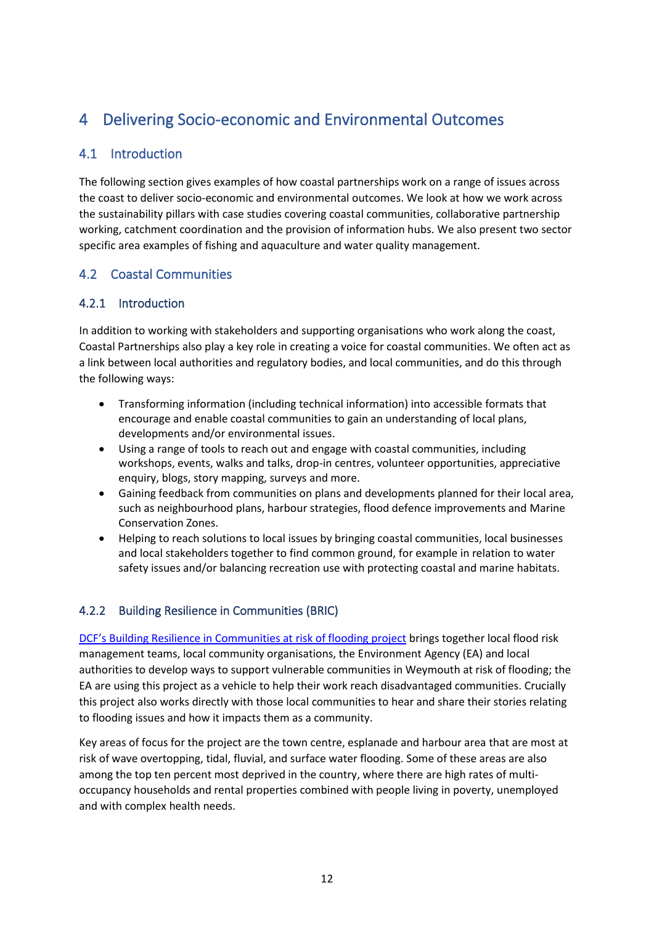# <span id="page-11-0"></span>4 Delivering Socio-economic and Environmental Outcomes

# <span id="page-11-1"></span>4.1 Introduction

The following section gives examples of how coastal partnerships work on a range of issues across the coast to deliver socio-economic and environmental outcomes. We look at how we work across the sustainability pillars with case studies covering coastal communities, collaborative partnership working, catchment coordination and the provision of information hubs. We also present two sector specific area examples of fishing and aquaculture and water quality management.

# <span id="page-11-2"></span>4.2 Coastal Communities

# <span id="page-11-3"></span>4.2.1 Introduction

In addition to working with stakeholders and supporting organisations who work along the coast, Coastal Partnerships also play a key role in creating a voice for coastal communities. We often act as a link between local authorities and regulatory bodies, and local communities, and do this through the following ways:

- Transforming information (including technical information) into accessible formats that encourage and enable coastal communities to gain an understanding of local plans, developments and/or environmental issues.
- Using a range of tools to reach out and engage with coastal communities, including workshops, events, walks and talks, drop-in centres, volunteer opportunities, appreciative enquiry, blogs, story mapping, surveys and more.
- Gaining feedback from communities on plans and developments planned for their local area, such as neighbourhood plans, harbour strategies, flood defence improvements and Marine Conservation Zones.
- Helping to reach solutions to local issues by bringing coastal communities, local businesses and local stakeholders together to find common ground, for example in relation to water safety issues and/or balancing recreation use with protecting coastal and marine habitats.

# <span id="page-11-4"></span>4.2.2 Building Resilience in Communities (BRIC)

[DCF's Building Resilience in Communities at risk of flooding project](https://www.dorsetcoast.com/projects/weymouth-bric/) brings together local flood risk management teams, local community organisations, the Environment Agency (EA) and local authorities to develop ways to support vulnerable communities in Weymouth at risk of flooding; the EA are using this project as a vehicle to help their work reach disadvantaged communities. Crucially this project also works directly with those local communities to hear and share their stories relating to flooding issues and how it impacts them as a community.

Key areas of focus for the project are the town centre, esplanade and harbour area that are most at risk of wave overtopping, tidal, fluvial, and surface water flooding. Some of these areas are also among the top ten percent most deprived in the country, where there are high rates of multioccupancy households and rental properties combined with people living in poverty, unemployed and with complex health needs.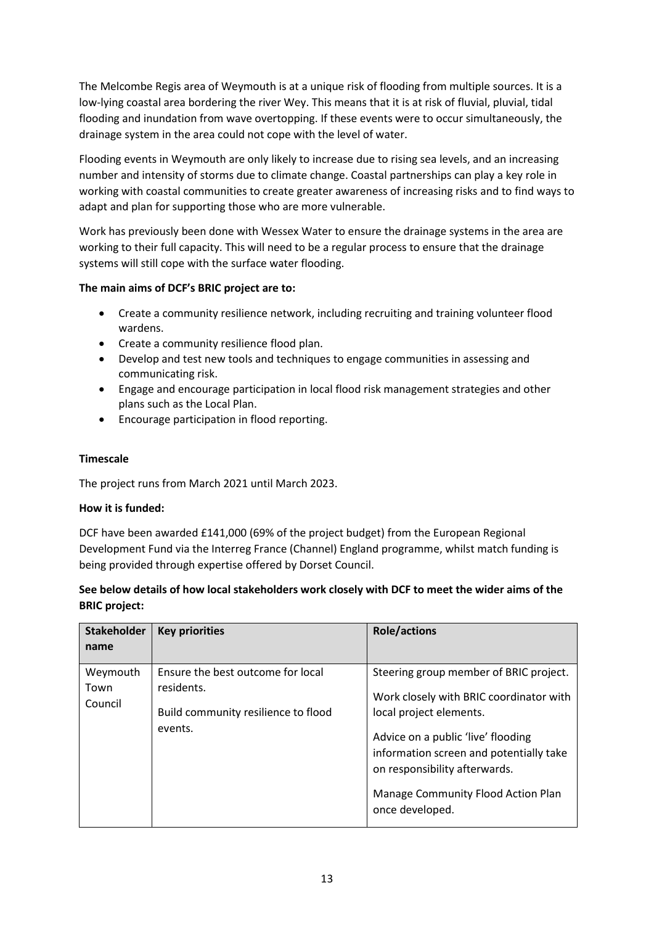The Melcombe Regis area of Weymouth is at a unique risk of flooding from multiple sources. It is a low-lying coastal area bordering the river Wey. This means that it is at risk of fluvial, pluvial, tidal flooding and inundation from wave overtopping. If these events were to occur simultaneously, the drainage system in the area could not cope with the level of water.

Flooding events in Weymouth are only likely to increase due to rising sea levels, and an increasing number and intensity of storms due to climate change. Coastal partnerships can play a key role in working with coastal communities to create greater awareness of increasing risks and to find ways to adapt and plan for supporting those who are more vulnerable.

Work has previously been done with Wessex Water to ensure the drainage systems in the area are working to their full capacity. This will need to be a regular process to ensure that the drainage systems will still cope with the surface water flooding.

### **The main aims of DCF's BRIC project are to:**

- Create a community resilience network, including recruiting and training volunteer flood wardens.
- Create a community resilience flood plan.
- Develop and test new tools and techniques to engage communities in assessing and communicating risk.
- Engage and encourage participation in local flood risk management strategies and other plans such as the Local Plan.
- Encourage participation in flood reporting.

### **Timescale**

The project runs from March 2021 until March 2023.

#### **How it is funded:**

DCF have been awarded £141,000 (69% of the project budget) from the European Regional Development Fund via the Interreg France (Channel) England programme, whilst match funding is being provided through expertise offered by Dorset Council.

### **See below details of how local stakeholders work closely with DCF to meet the wider aims of the BRIC project:**

| <b>Stakeholder</b><br>name  | <b>Key priorities</b>                                                                             | <b>Role/actions</b>                                                                                                                                                                                                                                                                     |
|-----------------------------|---------------------------------------------------------------------------------------------------|-----------------------------------------------------------------------------------------------------------------------------------------------------------------------------------------------------------------------------------------------------------------------------------------|
| Weymouth<br>Town<br>Council | Ensure the best outcome for local<br>residents.<br>Build community resilience to flood<br>events. | Steering group member of BRIC project.<br>Work closely with BRIC coordinator with<br>local project elements.<br>Advice on a public 'live' flooding<br>information screen and potentially take<br>on responsibility afterwards.<br>Manage Community Flood Action Plan<br>once developed. |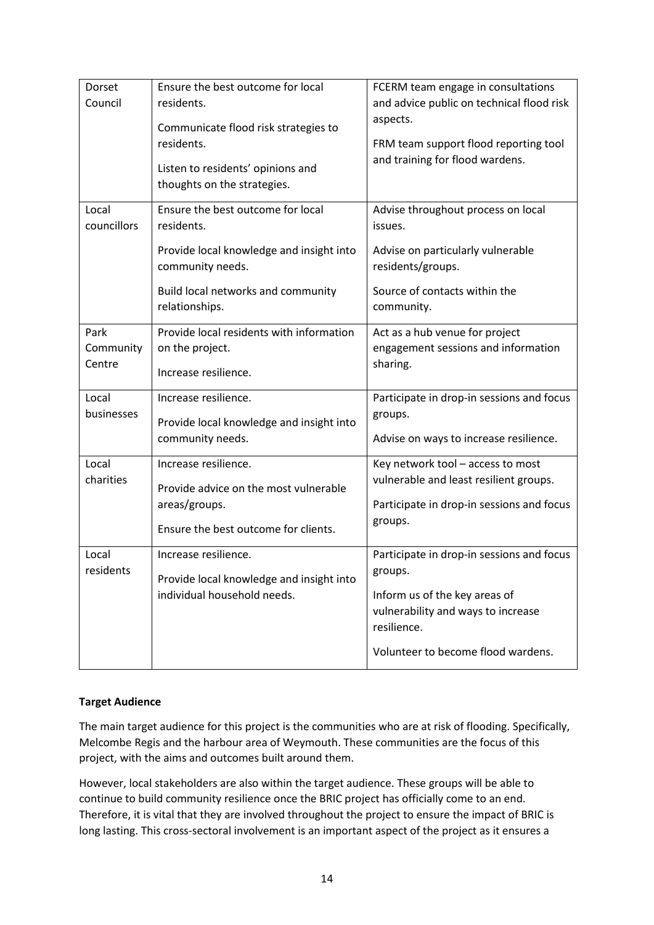| Dorset      | Ensure the best outcome for local                                       | FCERM team engage in consultations        |  |  |  |  |  |
|-------------|-------------------------------------------------------------------------|-------------------------------------------|--|--|--|--|--|
| Council     | residents.                                                              | and advice public on technical flood risk |  |  |  |  |  |
|             | Communicate flood risk strategies to                                    | aspects.                                  |  |  |  |  |  |
|             | residents.                                                              | FRM team support flood reporting tool     |  |  |  |  |  |
|             |                                                                         | and training for flood wardens.           |  |  |  |  |  |
|             | Listen to residents' opinions and                                       |                                           |  |  |  |  |  |
|             | thoughts on the strategies.                                             |                                           |  |  |  |  |  |
| Local       | Ensure the best outcome for local                                       | Advise throughout process on local        |  |  |  |  |  |
| councillors | residents.                                                              | issues.                                   |  |  |  |  |  |
|             | Provide local knowledge and insight into                                | Advise on particularly vulnerable         |  |  |  |  |  |
|             | community needs.                                                        | residents/groups.                         |  |  |  |  |  |
|             |                                                                         |                                           |  |  |  |  |  |
|             | Build local networks and community                                      | Source of contacts within the             |  |  |  |  |  |
|             | relationships.                                                          | community.                                |  |  |  |  |  |
| Park        | Provide local residents with information                                | Act as a hub venue for project            |  |  |  |  |  |
| Community   | on the project.                                                         | engagement sessions and information       |  |  |  |  |  |
| Centre      | Increase resilience.                                                    | sharing.                                  |  |  |  |  |  |
|             |                                                                         |                                           |  |  |  |  |  |
| Local       | Increase resilience.                                                    | Participate in drop-in sessions and focus |  |  |  |  |  |
| businesses  | Provide local knowledge and insight into                                | groups.                                   |  |  |  |  |  |
|             | community needs.                                                        | Advise on ways to increase resilience.    |  |  |  |  |  |
| Local       | Increase resilience.                                                    | Key network tool - access to most         |  |  |  |  |  |
| charities   |                                                                         | vulnerable and least resilient groups.    |  |  |  |  |  |
|             | Provide advice on the most vulnerable                                   |                                           |  |  |  |  |  |
|             | areas/groups.                                                           | Participate in drop-in sessions and focus |  |  |  |  |  |
|             | Ensure the best outcome for clients.                                    | groups.                                   |  |  |  |  |  |
| Local       | Increase resilience.                                                    | Participate in drop-in sessions and focus |  |  |  |  |  |
| residents   |                                                                         | groups.                                   |  |  |  |  |  |
|             | Provide local knowledge and insight into<br>individual household needs. | Inform us of the key areas of             |  |  |  |  |  |
|             |                                                                         | vulnerability and ways to increase        |  |  |  |  |  |
|             |                                                                         | resilience.                               |  |  |  |  |  |
|             |                                                                         |                                           |  |  |  |  |  |
|             |                                                                         | Volunteer to become flood wardens.        |  |  |  |  |  |

### **Target Audience**

The main target audience for this project is the communities who are at risk of flooding. Specifically, Melcombe Regis and the harbour area of Weymouth. These communities are the focus of this project, with the aims and outcomes built around them.

However, local stakeholders are also within the target audience. These groups will be able to continue to build community resilience once the BRIC project has officially come to an end. Therefore, it is vital that they are involved throughout the project to ensure the impact of BRIC is long lasting. This cross-sectoral involvement is an important aspect of the project as it ensures a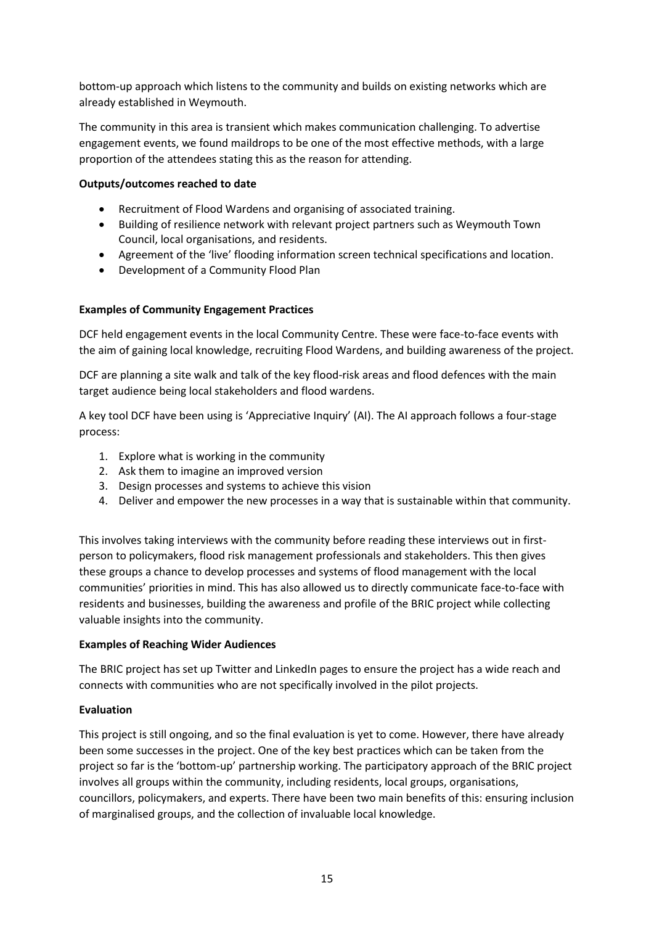bottom-up approach which listens to the community and builds on existing networks which are already established in Weymouth.

The community in this area is transient which makes communication challenging. To advertise engagement events, we found maildrops to be one of the most effective methods, with a large proportion of the attendees stating this as the reason for attending.

### **Outputs/outcomes reached to date**

- Recruitment of Flood Wardens and organising of associated training.
- Building of resilience network with relevant project partners such as Weymouth Town Council, local organisations, and residents.
- Agreement of the 'live' flooding information screen technical specifications and location.
- Development of a Community Flood Plan

### **Examples of Community Engagement Practices**

DCF held engagement events in the local Community Centre. These were face-to-face events with the aim of gaining local knowledge, recruiting Flood Wardens, and building awareness of the project.

DCF are planning a site walk and talk of the key flood-risk areas and flood defences with the main target audience being local stakeholders and flood wardens.

A key tool DCF have been using is 'Appreciative Inquiry' (AI). The AI approach follows a four-stage process:

- 1. Explore what is working in the community
- 2. Ask them to imagine an improved version
- 3. Design processes and systems to achieve this vision
- 4. Deliver and empower the new processes in a way that is sustainable within that community.

This involves taking interviews with the community before reading these interviews out in firstperson to policymakers, flood risk management professionals and stakeholders. This then gives these groups a chance to develop processes and systems of flood management with the local communities' priorities in mind. This has also allowed us to directly communicate face-to-face with residents and businesses, building the awareness and profile of the BRIC project while collecting valuable insights into the community.

#### **Examples of Reaching Wider Audiences**

The BRIC project has set up Twitter and LinkedIn pages to ensure the project has a wide reach and connects with communities who are not specifically involved in the pilot projects.

### **Evaluation**

This project is still ongoing, and so the final evaluation is yet to come. However, there have already been some successes in the project. One of the key best practices which can be taken from the project so far is the 'bottom-up' partnership working. The participatory approach of the BRIC project involves all groups within the community, including residents, local groups, organisations, councillors, policymakers, and experts. There have been two main benefits of this: ensuring inclusion of marginalised groups, and the collection of invaluable local knowledge.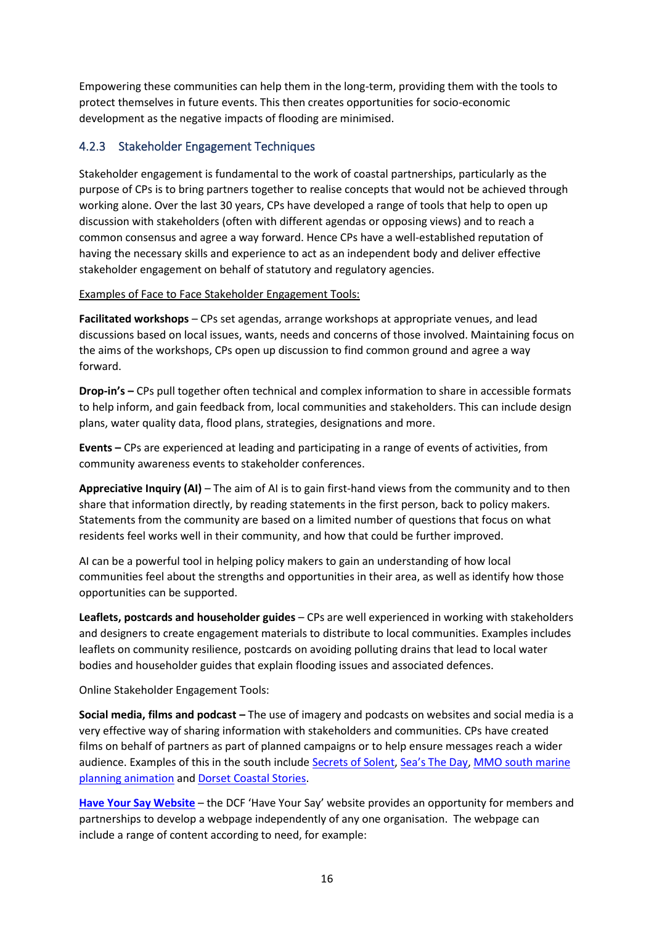Empowering these communities can help them in the long-term, providing them with the tools to protect themselves in future events. This then creates opportunities for socio-economic development as the negative impacts of flooding are minimised.

# <span id="page-15-0"></span>4.2.3 Stakeholder Engagement Techniques

Stakeholder engagement is fundamental to the work of coastal partnerships, particularly as the purpose of CPs is to bring partners together to realise concepts that would not be achieved through working alone. Over the last 30 years, CPs have developed a range of tools that help to open up discussion with stakeholders (often with different agendas or opposing views) and to reach a common consensus and agree a way forward. Hence CPs have a well-established reputation of having the necessary skills and experience to act as an independent body and deliver effective stakeholder engagement on behalf of statutory and regulatory agencies.

Examples of Face to Face Stakeholder Engagement Tools:

**Facilitated workshops** – CPs set agendas, arrange workshops at appropriate venues, and lead discussions based on local issues, wants, needs and concerns of those involved. Maintaining focus on the aims of the workshops, CPs open up discussion to find common ground and agree a way forward.

**Drop-in's –** CPs pull together often technical and complex information to share in accessible formats to help inform, and gain feedback from, local communities and stakeholders. This can include design plans, water quality data, flood plans, strategies, designations and more.

**Events –** CPs are experienced at leading and participating in a range of events of activities, from community awareness events to stakeholder conferences.

**Appreciative Inquiry (AI)** – The aim of AI is to gain first-hand views from the community and to then share that information directly, by reading statements in the first person, back to policy makers. Statements from the community are based on a limited number of questions that focus on what residents feel works well in their community, and how that could be further improved.

AI can be a powerful tool in helping policy makers to gain an understanding of how local communities feel about the strengths and opportunities in their area, as well as identify how those opportunities can be supported.

**Leaflets, postcards and householder guides** – CPs are well experienced in working with stakeholders and designers to create engagement materials to distribute to local communities. Examples includes leaflets on community resilience, postcards on avoiding polluting drains that lead to local water bodies and householder guides that explain flooding issues and associated defences.

Online Stakeholder Engagement Tools:

**Social media, films and podcast –** The use of imagery and podcasts on websites and social media is a very effective way of sharing information with stakeholders and communities. CPs have created films on behalf of partners as part of planned campaigns or to help ensure messages reach a wider audience. Examples of this in the south include [Secrets of Solent,](https://www.hiwwt.org.uk/secrets-of-the-solent) [Sea's The Day](https://www.youtube.com/watch?v=iT6xdZH41DI), MMO south marine [planning animation](https://www.youtube.com/watch?v=eOXyLKaWSuU) and [Dorset Coastal Stories.](https://www.dorsetcoast.com/resources/dorset-coastal-stories/)

**[Have Your Say Website](https://www.dorsetcoast.com/get-involved/dorset-coast-have-your-say/)** – the DCF 'Have Your Say' website provides an opportunity for members and partnerships to develop a webpage independently of any one organisation. The webpage can include a range of content according to need, for example: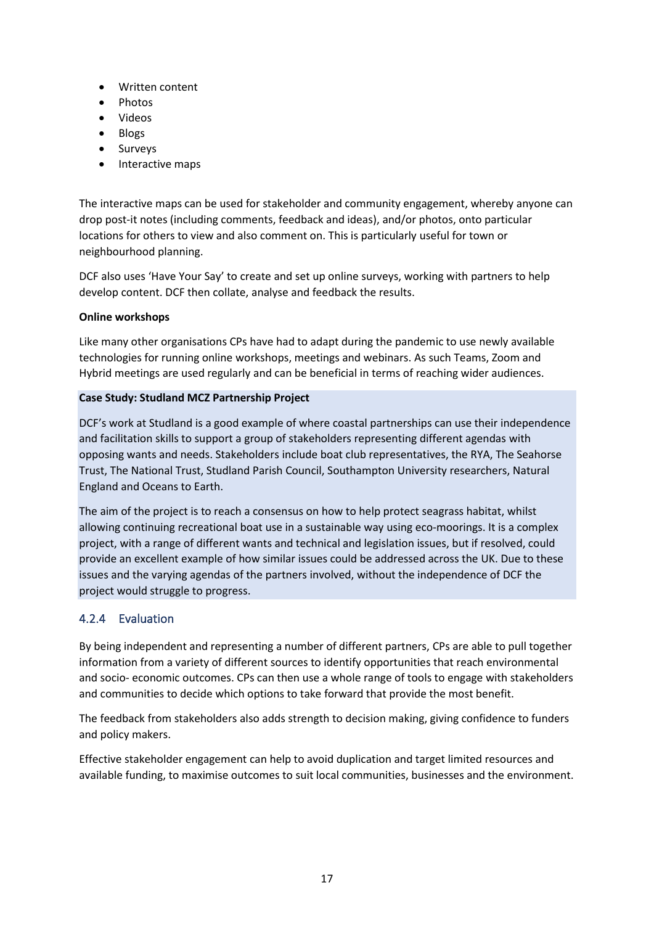- Written content
- Photos
- Videos
- Blogs
- **Surveys**
- Interactive maps

The interactive maps can be used for stakeholder and community engagement, whereby anyone can drop post-it notes (including comments, feedback and ideas), and/or photos, onto particular locations for others to view and also comment on. This is particularly useful for town or neighbourhood planning.

DCF also uses 'Have Your Say' to create and set up online surveys, working with partners to help develop content. DCF then collate, analyse and feedback the results.

### **Online workshops**

Like many other organisations CPs have had to adapt during the pandemic to use newly available technologies for running online workshops, meetings and webinars. As such Teams, Zoom and Hybrid meetings are used regularly and can be beneficial in terms of reaching wider audiences.

### **Case Study: Studland MCZ Partnership Project**

DCF's work at Studland is a good example of where coastal partnerships can use their independence and facilitation skills to support a group of stakeholders representing different agendas with opposing wants and needs. Stakeholders include boat club representatives, the RYA, The Seahorse Trust, The National Trust, Studland Parish Council, Southampton University researchers, Natural England and Oceans to Earth.

The aim of the project is to reach a consensus on how to help protect seagrass habitat, whilst allowing continuing recreational boat use in a sustainable way using eco-moorings. It is a complex project, with a range of different wants and technical and legislation issues, but if resolved, could provide an excellent example of how similar issues could be addressed across the UK. Due to these issues and the varying agendas of the partners involved, without the independence of DCF the project would struggle to progress.

# <span id="page-16-0"></span>4.2.4 Evaluation

By being independent and representing a number of different partners, CPs are able to pull together information from a variety of different sources to identify opportunities that reach environmental and socio- economic outcomes. CPs can then use a whole range of tools to engage with stakeholders and communities to decide which options to take forward that provide the most benefit.

The feedback from stakeholders also adds strength to decision making, giving confidence to funders and policy makers.

Effective stakeholder engagement can help to avoid duplication and target limited resources and available funding, to maximise outcomes to suit local communities, businesses and the environment.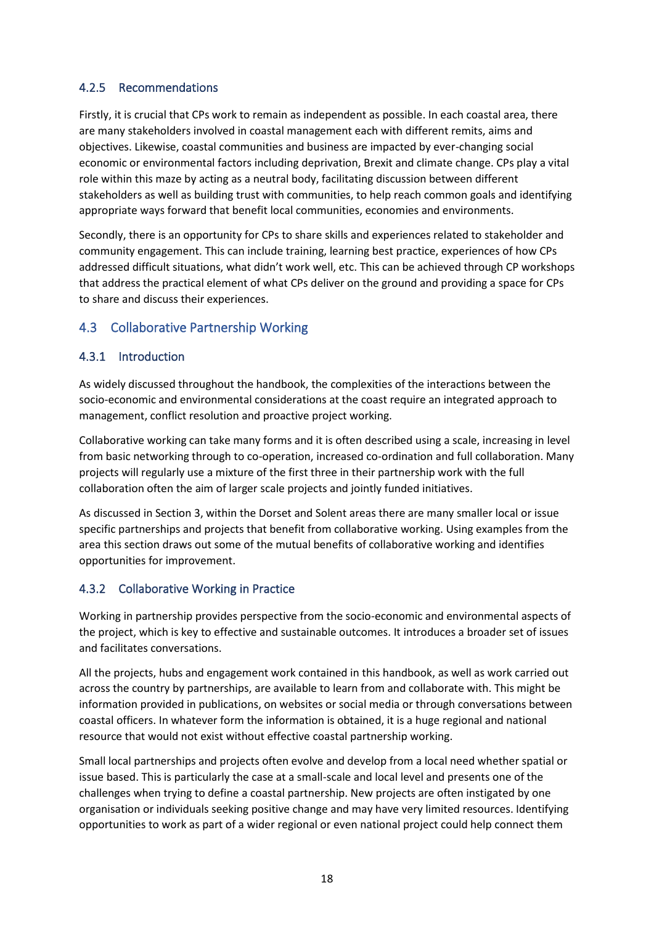# <span id="page-17-0"></span>4.2.5 Recommendations

Firstly, it is crucial that CPs work to remain as independent as possible. In each coastal area, there are many stakeholders involved in coastal management each with different remits, aims and objectives. Likewise, coastal communities and business are impacted by ever-changing social economic or environmental factors including deprivation, Brexit and climate change. CPs play a vital role within this maze by acting as a neutral body, facilitating discussion between different stakeholders as well as building trust with communities, to help reach common goals and identifying appropriate ways forward that benefit local communities, economies and environments.

Secondly, there is an opportunity for CPs to share skills and experiences related to stakeholder and community engagement. This can include training, learning best practice, experiences of how CPs addressed difficult situations, what didn't work well, etc. This can be achieved through CP workshops that address the practical element of what CPs deliver on the ground and providing a space for CPs to share and discuss their experiences.

# <span id="page-17-1"></span>4.3 Collaborative Partnership Working

## <span id="page-17-2"></span>4.3.1 Introduction

As widely discussed throughout the handbook, the complexities of the interactions between the socio-economic and environmental considerations at the coast require an integrated approach to management, conflict resolution and proactive project working.

Collaborative working can take many forms and it is often described using a scale, increasing in level from basic networking through to co-operation, increased co-ordination and full collaboration. Many projects will regularly use a mixture of the first three in their partnership work with the full collaboration often the aim of larger scale projects and jointly funded initiatives.

As discussed in Section 3, within the Dorset and Solent areas there are many smaller local or issue specific partnerships and projects that benefit from collaborative working. Using examples from the area this section draws out some of the mutual benefits of collaborative working and identifies opportunities for improvement.

## <span id="page-17-3"></span>4.3.2 Collaborative Working in Practice

Working in partnership provides perspective from the socio-economic and environmental aspects of the project, which is key to effective and sustainable outcomes. It introduces a broader set of issues and facilitates conversations.

All the projects, hubs and engagement work contained in this handbook, as well as work carried out across the country by partnerships, are available to learn from and collaborate with. This might be information provided in publications, on websites or social media or through conversations between coastal officers. In whatever form the information is obtained, it is a huge regional and national resource that would not exist without effective coastal partnership working.

Small local partnerships and projects often evolve and develop from a local need whether spatial or issue based. This is particularly the case at a small-scale and local level and presents one of the challenges when trying to define a coastal partnership. New projects are often instigated by one organisation or individuals seeking positive change and may have very limited resources. Identifying opportunities to work as part of a wider regional or even national project could help connect them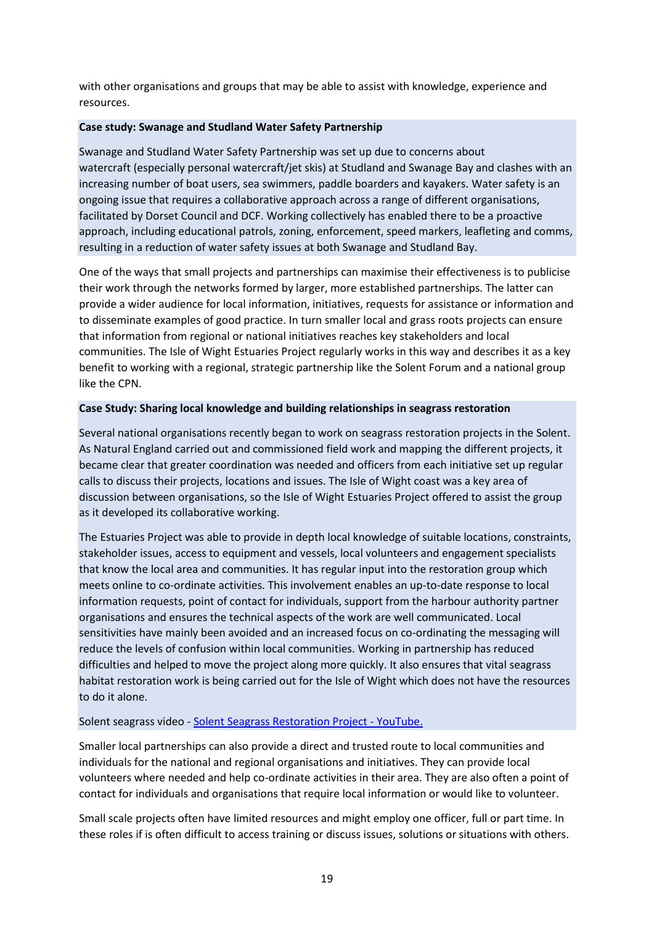with other organisations and groups that may be able to assist with knowledge, experience and resources.

#### **Case study: Swanage and Studland Water Safety Partnership**

Swanage and Studland Water Safety Partnership was set up due to concerns about watercraft (especially personal watercraft/jet skis) at Studland and Swanage Bay and clashes with an increasing number of boat users, sea swimmers, paddle boarders and kayakers. Water safety is an ongoing issue that requires a collaborative approach across a range of different organisations, facilitated by Dorset Council and DCF. Working collectively has enabled there to be a proactive approach, including educational patrols, zoning, enforcement, speed markers, leafleting and comms, resulting in a reduction of water safety issues at both Swanage and Studland Bay.

One of the ways that small projects and partnerships can maximise their effectiveness is to publicise their work through the networks formed by larger, more established partnerships. The latter can provide a wider audience for local information, initiatives, requests for assistance or information and to disseminate examples of good practice. In turn smaller local and grass roots projects can ensure that information from regional or national initiatives reaches key stakeholders and local communities. The Isle of Wight Estuaries Project regularly works in this way and describes it as a key benefit to working with a regional, strategic partnership like the Solent Forum and a national group like the CPN.

### **Case Study: Sharing local knowledge and building relationships in seagrass restoration**

Several national organisations recently began to work on seagrass restoration projects in the Solent. As Natural England carried out and commissioned field work and mapping the different projects, it became clear that greater coordination was needed and officers from each initiative set up regular calls to discuss their projects, locations and issues. The Isle of Wight coast was a key area of discussion between organisations, so the Isle of Wight Estuaries Project offered to assist the group as it developed its collaborative working.

The Estuaries Project was able to provide in depth local knowledge of suitable locations, constraints, stakeholder issues, access to equipment and vessels, local volunteers and engagement specialists that know the local area and communities. It has regular input into the restoration group which meets online to co-ordinate activities. This involvement enables an up-to-date response to local information requests, point of contact for individuals, support from the harbour authority partner organisations and ensures the technical aspects of the work are well communicated. Local sensitivities have mainly been avoided and an increased focus on co-ordinating the messaging will reduce the levels of confusion within local communities. Working in partnership has reduced difficulties and helped to move the project along more quickly. It also ensures that vital seagrass habitat restoration work is being carried out for the Isle of Wight which does not have the resources to do it alone.

### Solent seagrass video - [Solent Seagrass Restoration Project -](https://www.youtube.com/watch?v=ixV28_HCMzE&t=8s) YouTube.

Smaller local partnerships can also provide a direct and trusted route to local communities and individuals for the national and regional organisations and initiatives. They can provide local volunteers where needed and help co-ordinate activities in their area. They are also often a point of contact for individuals and organisations that require local information or would like to volunteer.

Small scale projects often have limited resources and might employ one officer, full or part time. In these roles if is often difficult to access training or discuss issues, solutions or situations with others.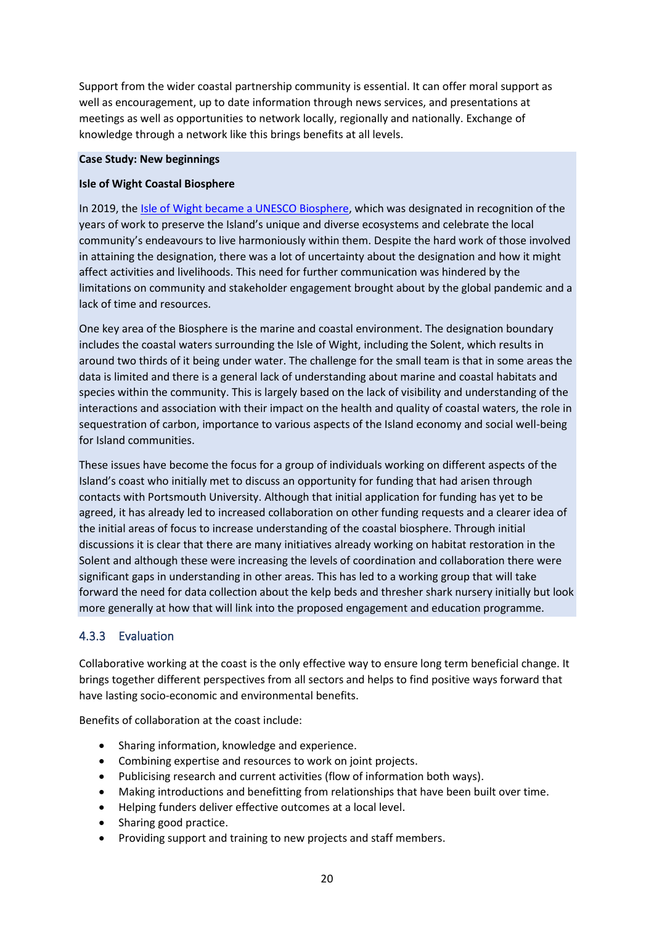Support from the wider coastal partnership community is essential. It can offer moral support as well as encouragement, up to date information through news services, and presentations at meetings as well as opportunities to network locally, regionally and nationally. Exchange of knowledge through a network like this brings benefits at all levels.

#### **Case Study: New beginnings**

#### **Isle of Wight Coastal Biosphere**

In 2019, the [Isle of Wight became a UNESCO Biosphere,](https://unesco.org.uk/biosphere-reserve/isle-of-wight/) which was designated in recognition of the years of work to preserve the Island's unique and diverse ecosystems and celebrate the local community's endeavours to live harmoniously within them. Despite the hard work of those involved in attaining the designation, there was a lot of uncertainty about the designation and how it might affect activities and livelihoods. This need for further communication was hindered by the limitations on community and stakeholder engagement brought about by the global pandemic and a lack of time and resources.

One key area of the Biosphere is the marine and coastal environment. The designation boundary includes the coastal waters surrounding the Isle of Wight, including the Solent, which results in around two thirds of it being under water. The challenge for the small team is that in some areas the data is limited and there is a general lack of understanding about marine and coastal habitats and species within the community. This is largely based on the lack of visibility and understanding of the interactions and association with their impact on the health and quality of coastal waters, the role in sequestration of carbon, importance to various aspects of the Island economy and social well-being for Island communities.

These issues have become the focus for a group of individuals working on different aspects of the Island's coast who initially met to discuss an opportunity for funding that had arisen through contacts with Portsmouth University. Although that initial application for funding has yet to be agreed, it has already led to increased collaboration on other funding requests and a clearer idea of the initial areas of focus to increase understanding of the coastal biosphere. Through initial discussions it is clear that there are many initiatives already working on habitat restoration in the Solent and although these were increasing the levels of coordination and collaboration there were significant gaps in understanding in other areas. This has led to a working group that will take forward the need for data collection about the kelp beds and thresher shark nursery initially but look more generally at how that will link into the proposed engagement and education programme.

### <span id="page-19-0"></span>4.3.3 Evaluation

Collaborative working at the coast is the only effective way to ensure long term beneficial change. It brings together different perspectives from all sectors and helps to find positive ways forward that have lasting socio-economic and environmental benefits.

Benefits of collaboration at the coast include:

- Sharing information, knowledge and experience.
- Combining expertise and resources to work on joint projects.
- Publicising research and current activities (flow of information both ways).
- Making introductions and benefitting from relationships that have been built over time.
- Helping funders deliver effective outcomes at a local level.
- Sharing good practice.
- Providing support and training to new projects and staff members.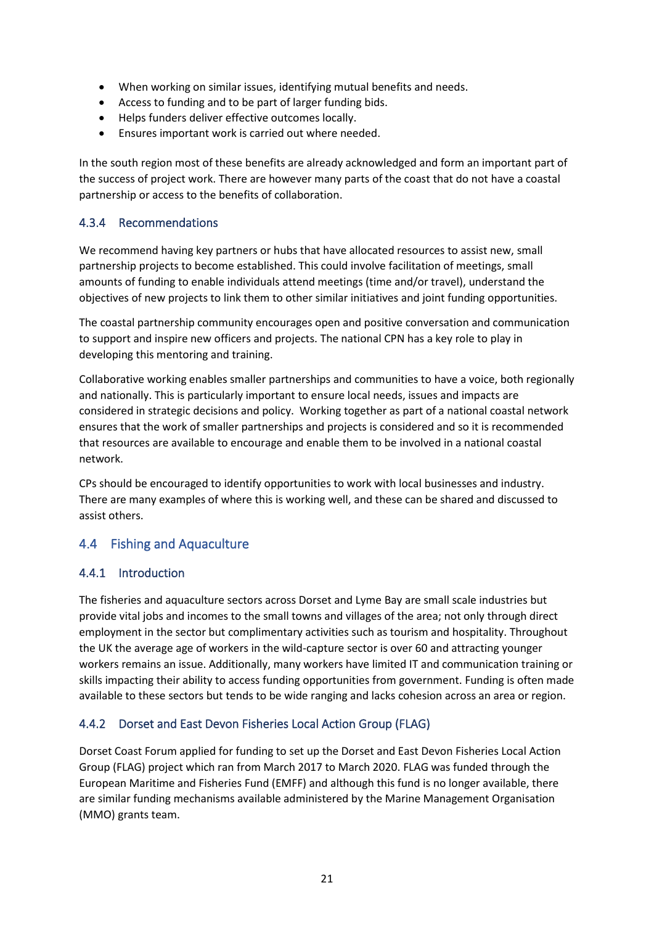- When working on similar issues, identifying mutual benefits and needs.
- Access to funding and to be part of larger funding bids.
- Helps funders deliver effective outcomes locally.
- Ensures important work is carried out where needed.

In the south region most of these benefits are already acknowledged and form an important part of the success of project work. There are however many parts of the coast that do not have a coastal partnership or access to the benefits of collaboration.

# <span id="page-20-0"></span>4.3.4 Recommendations

We recommend having key partners or hubs that have allocated resources to assist new, small partnership projects to become established. This could involve facilitation of meetings, small amounts of funding to enable individuals attend meetings (time and/or travel), understand the objectives of new projects to link them to other similar initiatives and joint funding opportunities.

The coastal partnership community encourages open and positive conversation and communication to support and inspire new officers and projects. The national CPN has a key role to play in developing this mentoring and training.

Collaborative working enables smaller partnerships and communities to have a voice, both regionally and nationally. This is particularly important to ensure local needs, issues and impacts are considered in strategic decisions and policy. Working together as part of a national coastal network ensures that the work of smaller partnerships and projects is considered and so it is recommended that resources are available to encourage and enable them to be involved in a national coastal network.

CPs should be encouraged to identify opportunities to work with local businesses and industry. There are many examples of where this is working well, and these can be shared and discussed to assist others.

# <span id="page-20-1"></span>4.4 Fishing and Aquaculture

## <span id="page-20-2"></span>4.4.1 Introduction

The fisheries and aquaculture sectors across Dorset and Lyme Bay are small scale industries but provide vital jobs and incomes to the small towns and villages of the area; not only through direct employment in the sector but complimentary activities such as tourism and hospitality. Throughout the UK the average age of workers in the wild-capture sector is over 60 and attracting younger workers remains an issue. Additionally, many workers have limited IT and communication training or skills impacting their ability to access funding opportunities from government. Funding is often made available to these sectors but tends to be wide ranging and lacks cohesion across an area or region.

## <span id="page-20-3"></span>4.4.2 Dorset and East Devon Fisheries Local Action Group (FLAG)

Dorset Coast Forum applied for funding to set up the Dorset and East Devon Fisheries Local Action Group (FLAG) project which ran from March 2017 to March 2020. FLAG was funded through the European Maritime and Fisheries Fund (EMFF) and although this fund is no longer available, there are similar funding mechanisms available administered by the Marine Management Organisation (MMO) grants team.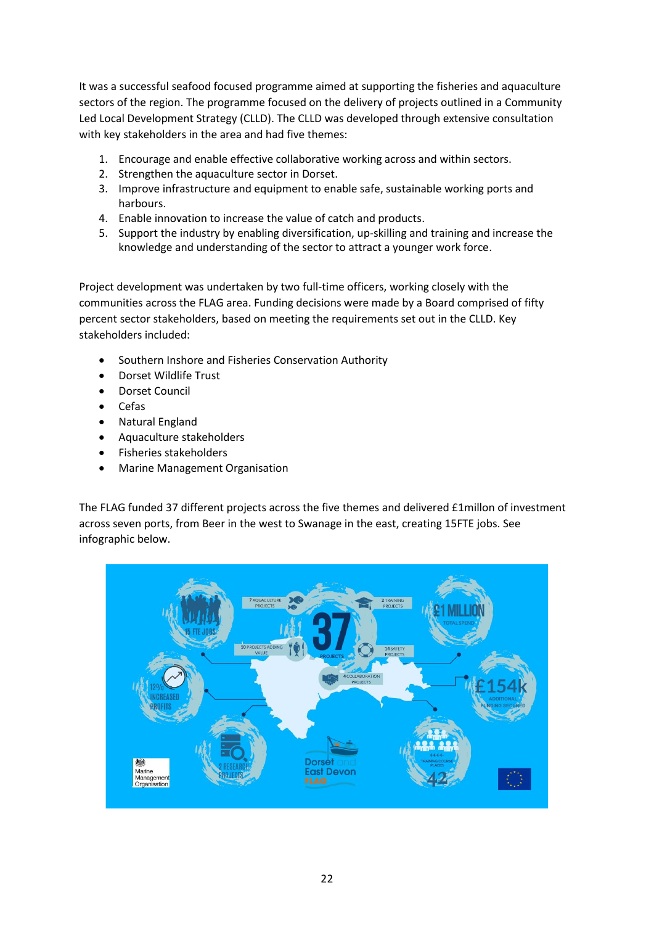It was a successful seafood focused programme aimed at supporting the fisheries and aquaculture sectors of the region. The programme focused on the delivery of projects outlined in a Community Led Local Development Strategy (CLLD). The CLLD was developed through extensive consultation with key stakeholders in the area and had five themes:

- 1. Encourage and enable effective collaborative working across and within sectors.
- 2. Strengthen the aquaculture sector in Dorset.
- 3. Improve infrastructure and equipment to enable safe, sustainable working ports and harbours.
- 4. Enable innovation to increase the value of catch and products.
- 5. Support the industry by enabling diversification, up-skilling and training and increase the knowledge and understanding of the sector to attract a younger work force.

Project development was undertaken by two full-time officers, working closely with the communities across the FLAG area. Funding decisions were made by a Board comprised of fifty percent sector stakeholders, based on meeting the requirements set out in the CLLD. Key stakeholders included:

- Southern Inshore and Fisheries Conservation Authority
- Dorset Wildlife Trust
- Dorset Council
- Cefas
- Natural England
- Aquaculture stakeholders
- Fisheries stakeholders
- Marine Management Organisation

The FLAG funded 37 different projects across the five themes and delivered £1millon of investment across seven ports, from Beer in the west to Swanage in the east, creating 15FTE jobs. See infographic below.

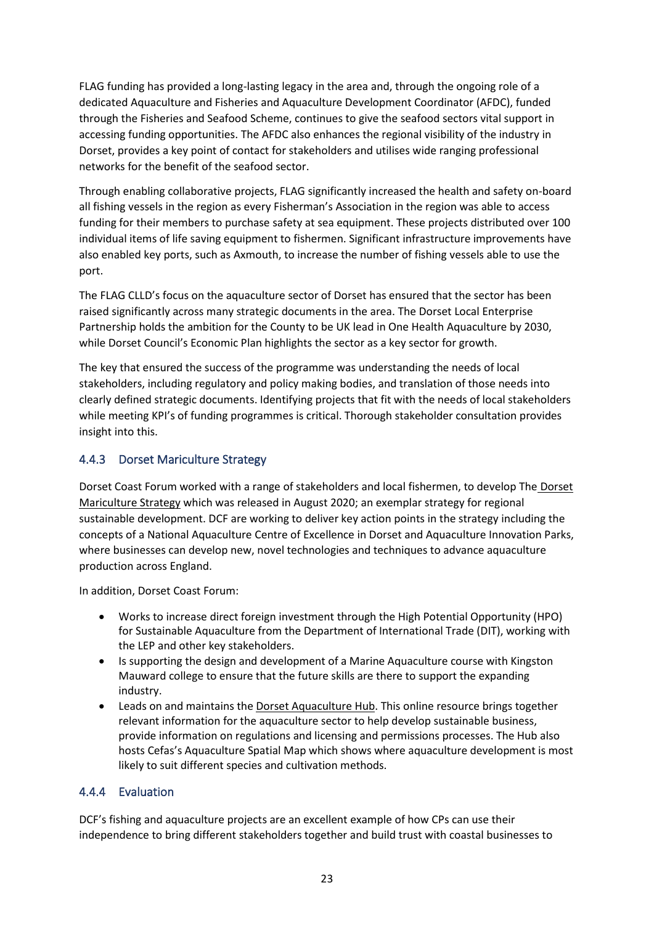FLAG funding has provided a long-lasting legacy in the area and, through the ongoing role of a dedicated Aquaculture and Fisheries and Aquaculture Development Coordinator (AFDC), funded through the Fisheries and Seafood Scheme, continues to give the seafood sectors vital support in accessing funding opportunities. The AFDC also enhances the regional visibility of the industry in Dorset, provides a key point of contact for stakeholders and utilises wide ranging professional networks for the benefit of the seafood sector.

Through enabling collaborative projects, FLAG significantly increased the health and safety on-board all fishing vessels in the region as every Fisherman's Association in the region was able to access funding for their members to purchase safety at sea equipment. These projects distributed over 100 individual items of life saving equipment to fishermen. Significant infrastructure improvements have also enabled key ports, such as Axmouth, to increase the number of fishing vessels able to use the port.

The FLAG CLLD's focus on the aquaculture sector of Dorset has ensured that the sector has been raised significantly across many strategic documents in the area. The Dorset Local Enterprise Partnership holds the ambition for the County to be UK lead in One Health Aquaculture by 2030, while Dorset Council's Economic Plan highlights the sector as a key sector for growth.

The key that ensured the success of the programme was understanding the needs of local stakeholders, including regulatory and policy making bodies, and translation of those needs into clearly defined strategic documents. Identifying projects that fit with the needs of local stakeholders while meeting KPI's of funding programmes is critical. Thorough stakeholder consultation provides insight into this.

# <span id="page-22-0"></span>4.4.3 Dorset Mariculture Strategy

Dorset Coast Forum worked with a range of stakeholders and local fishermen, to develop The [Dorset](https://www.dorsetcoast.com/wp-content/uploads/2020/08/Dorset-Mariculture-Strategy-2020-2025_WEB-FINAL.pdf)  [Mariculture Strategy](https://www.dorsetcoast.com/wp-content/uploads/2020/08/Dorset-Mariculture-Strategy-2020-2025_WEB-FINAL.pdf) which was released in August 2020; an exemplar strategy for regional sustainable development. DCF are working to deliver key action points in the strategy including the concepts of a National Aquaculture Centre of Excellence in Dorset and Aquaculture Innovation Parks, where businesses can develop new, novel technologies and techniques to advance aquaculture production across England.

In addition, Dorset Coast Forum:

- Works to increase direct foreign investment through the High Potential Opportunity (HPO) for Sustainable Aquaculture from the Department of International Trade (DIT), working with the LEP and other key stakeholders.
- Is supporting the design and development of a Marine Aquaculture course with Kingston Mauward college to ensure that the future skills are there to support the expanding industry.
- Leads on and maintains the [Dorset Aquaculture Hub.](http://www.dorsetaquaculture.co.uk/) This online resource brings together relevant information for the aquaculture sector to help develop sustainable business, provide information on regulations and licensing and permissions processes. The Hub also hosts Cefas's Aquaculture Spatial Map which shows where aquaculture development is most likely to suit different species and cultivation methods.

## <span id="page-22-1"></span>4.4.4 Evaluation

DCF's fishing and aquaculture projects are an excellent example of how CPs can use their independence to bring different stakeholders together and build trust with coastal businesses to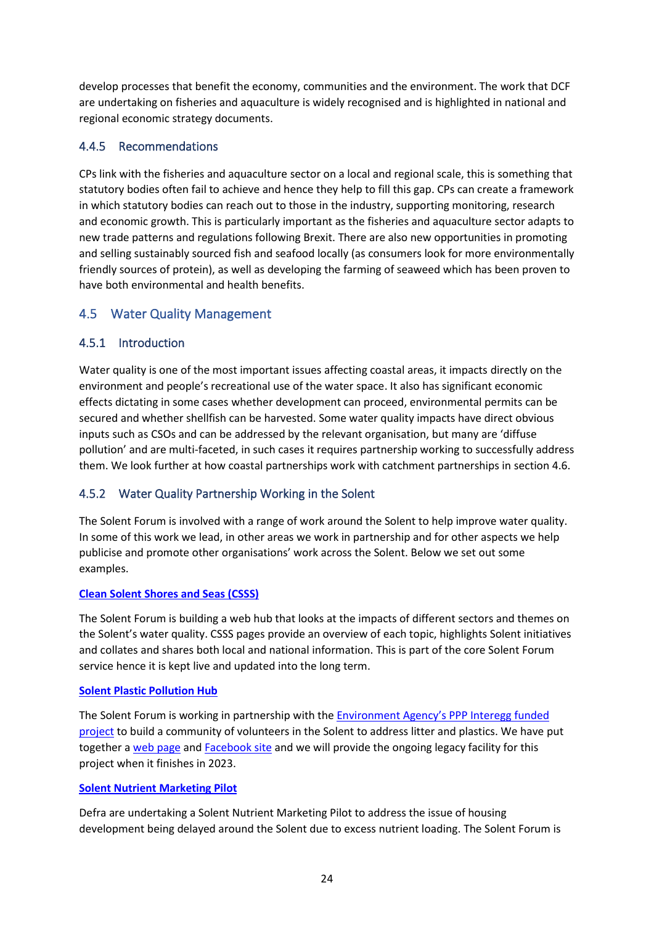develop processes that benefit the economy, communities and the environment. The work that DCF are undertaking on fisheries and aquaculture is widely recognised and is highlighted in national and regional economic strategy documents.

### <span id="page-23-0"></span>4.4.5 Recommendations

CPs link with the fisheries and aquaculture sector on a local and regional scale, this is something that statutory bodies often fail to achieve and hence they help to fill this gap. CPs can create a framework in which statutory bodies can reach out to those in the industry, supporting monitoring, research and economic growth. This is particularly important as the fisheries and aquaculture sector adapts to new trade patterns and regulations following Brexit. There are also new opportunities in promoting and selling sustainably sourced fish and seafood locally (as consumers look for more environmentally friendly sources of protein), as well as developing the farming of seaweed which has been proven to have both environmental and health benefits.

# <span id="page-23-1"></span>4.5 Water Quality Management

### <span id="page-23-2"></span>4.5.1 Introduction

Water quality is one of the most important issues affecting coastal areas, it impacts directly on the environment and people's recreational use of the water space. It also has significant economic effects dictating in some cases whether development can proceed, environmental permits can be secured and whether shellfish can be harvested. Some water quality impacts have direct obvious inputs such as CSOs and can be addressed by the relevant organisation, but many are 'diffuse pollution' and are multi-faceted, in such cases it requires partnership working to successfully address them. We look further at how coastal partnerships work with catchment partnerships in section 4.6.

## <span id="page-23-3"></span>4.5.2 Water Quality Partnership Working in the Solent

The Solent Forum is involved with a range of work around the Solent to help improve water quality. In some of this work we lead, in other areas we work in partnership and for other aspects we help publicise and promote other organisations' work across the Solent. Below we set out some examples.

#### **[Clean Solent Shores and Seas \(CSSS\)](http://www.solentforum.org/services/Member_Services/css/)**

The Solent Forum is building a web hub that looks at the impacts of different sectors and themes on the Solent's water quality. CSSS pages provide an overview of each topic, highlights Solent initiatives and collates and shares both local and national information. This is part of the core Solent Forum service hence it is kept live and updated into the long term.

#### **[Solent Plastic Pollution Hub](http://www.solentforum.org/services/Current_Projects/Solent_Plastics_Hub/)**

The Solent Forum is working in partnership with the [Environment Agency's PPP Inter](https://preventingplasticpollution.com/)egg funded [project](https://preventingplasticpollution.com/) to build a community of volunteers in the Solent to address litter and plastics. We have put together a [web page](http://www.solentforum.org/services/Current_Projects/Solent_Plastics_Hub/) and [Facebook site](https://www.facebook.com/solentpphub) and we will provide the ongoing legacy facility for this project when it finishes in 2023.

#### **[Solent Nutrient Marketing](https://www.solentnutrientmarket.org.uk/) Pilot**

Defra are undertaking a Solent Nutrient Marketing Pilot to address the issue of housing development being delayed around the Solent due to excess nutrient loading. The Solent Forum is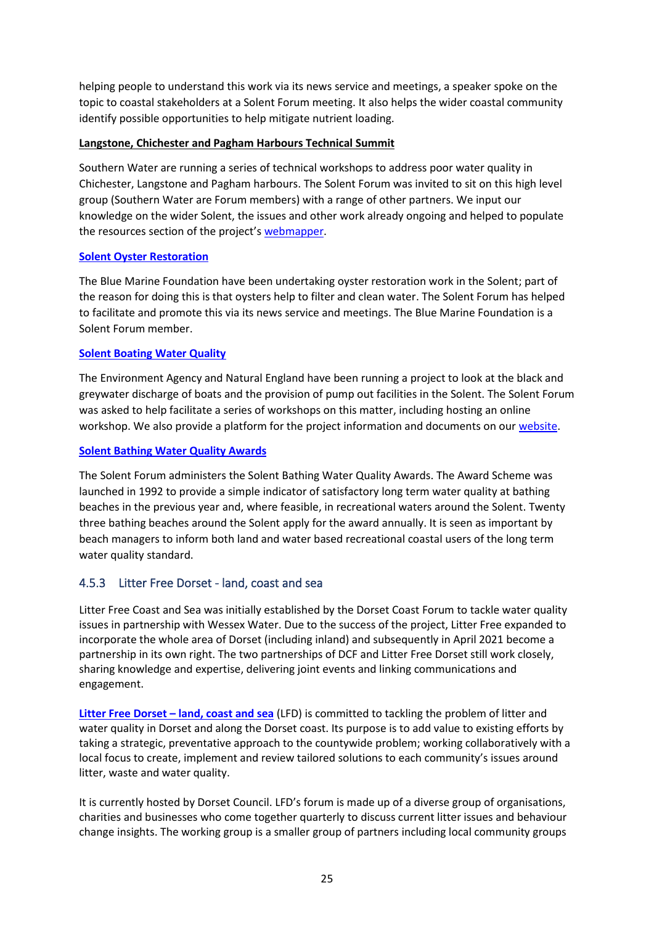helping people to understand this work via its news service and meetings, a speaker spoke on the topic to coastal stakeholders at a Solent Forum meeting. It also helps the wider coastal community identify possible opportunities to help mitigate nutrient loading.

### **Langstone, Chichester and Pagham Harbours Technical Summit**

Southern Water are running a series of technical workshops to address poor water quality in Chichester, Langstone and Pagham harbours. The Solent Forum was invited to sit on this high level group (Southern Water are Forum members) with a range of other partners. We input our knowledge on the wider Solent, the issues and other work already ongoing and helped to populate the resources section of the project's [webmapper.](https://atkinsgeospatial.maps.arcgis.com/apps/MapSeries/index.html?appid=df7efec2b0fb4eb1ac22f02cd35c037f)

### **[Solent Oyster Restoration](https://www.bluemarinefoundation.com/projects/solent/)**

The Blue Marine Foundation have been undertaking oyster restoration work in the Solent; part of the reason for doing this is that oysters help to filter and clean water. The Solent Forum has helped to facilitate and promote this via its news service and meetings. The Blue Marine Foundation is a Solent Forum member.

### **[Solent Boating Water Quality](http://www.solentforum.org/services/Current_Projects/Boating/)**

The Environment Agency and Natural England have been running a project to look at the black and greywater discharge of boats and the provision of pump out facilities in the Solent. The Solent Forum was asked to help facilitate a series of workshops on this matter, including hosting an online workshop. We also provide a platform for the project information and documents on our [website.](http://www.solentforum.org/services/Current_Projects/Boating/)

### **[Solent Bathing Water Quality Awards](http://www.solentforum.org/services/Member_Services/SWQA/)**

The Solent Forum administers the Solent Bathing Water Quality Awards. The Award Scheme was launched in 1992 to provide a simple indicator of satisfactory long term water quality at bathing beaches in the previous year and, where feasible, in recreational waters around the Solent. Twenty three bathing beaches around the Solent apply for the award annually. It is seen as important by beach managers to inform both land and water based recreational coastal users of the long term water quality standard.

### <span id="page-24-0"></span>4.5.3 Litter Free Dorset - land, coast and sea

Litter Free Coast and Sea was initially established by the Dorset Coast Forum to tackle water quality issues in partnership with Wessex Water. Due to the success of the project, Litter Free expanded to incorporate the whole area of Dorset (including inland) and subsequently in April 2021 become a partnership in its own right. The two partnerships of DCF and Litter Free Dorset still work closely, sharing knowledge and expertise, delivering joint events and linking communications and engagement.

**Litter Free Dorset – [land, coast and sea](https://www.litterfreedorset.co.uk/)** (LFD) is committed to tackling the problem of litter and water quality in Dorset and along the Dorset coast. Its purpose is to add value to existing efforts by taking a strategic, preventative approach to the countywide problem; working collaboratively with a local focus to create, implement and review tailored solutions to each community's issues around litter, waste and water quality.

It is currently hosted by Dorset Council. LFD's forum is made up of a diverse group of organisations, charities and businesses who come together quarterly to discuss current litter issues and behaviour change insights. The working group is a smaller group of partners including local community groups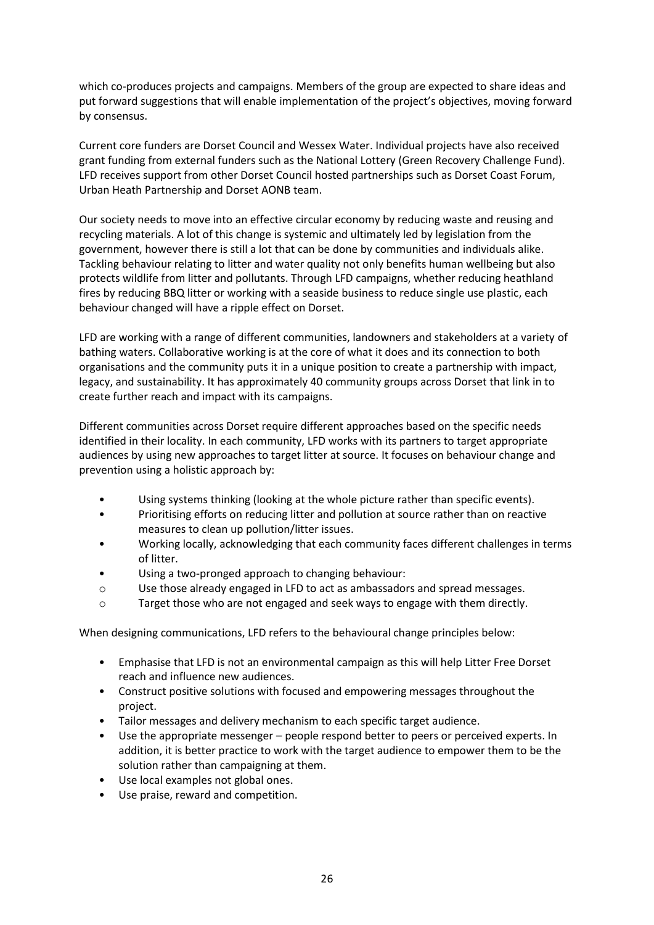which co-produces projects and campaigns. Members of the group are expected to share ideas and put forward suggestions that will enable implementation of the project's objectives, moving forward by consensus.

Current core funders are Dorset Council and Wessex Water. Individual projects have also received grant funding from external funders such as the National Lottery (Green Recovery Challenge Fund). LFD receives support from other Dorset Council hosted partnerships such as Dorset Coast Forum, Urban Heath Partnership and Dorset AONB team.

Our society needs to move into an effective circular economy by reducing waste and reusing and recycling materials. A lot of this change is systemic and ultimately led by legislation from the government, however there is still a lot that can be done by communities and individuals alike. Tackling behaviour relating to litter and water quality not only benefits human wellbeing but also protects wildlife from litter and pollutants. Through LFD campaigns, whether reducing heathland fires by reducing BBQ litter or working with a seaside business to reduce single use plastic, each behaviour changed will have a ripple effect on Dorset.

LFD are working with a range of different communities, landowners and stakeholders at a variety of bathing waters. Collaborative working is at the core of what it does and its connection to both organisations and the community puts it in a unique position to create a partnership with impact, legacy, and sustainability. It has approximately 40 community groups across Dorset that link in to create further reach and impact with its campaigns.

Different communities across Dorset require different approaches based on the specific needs identified in their locality. In each community, LFD works with its partners to target appropriate audiences by using new approaches to target litter at source. It focuses on behaviour change and prevention using a holistic approach by:

- Using systems thinking (looking at the whole picture rather than specific events).
- Prioritising efforts on reducing litter and pollution at source rather than on reactive measures to clean up pollution/litter issues.
- Working locally, acknowledging that each community faces different challenges in terms of litter.
- Using a two-pronged approach to changing behaviour:
- o Use those already engaged in LFD to act as ambassadors and spread messages.
- o Target those who are not engaged and seek ways to engage with them directly.

When designing communications, LFD refers to the behavioural change principles below:

- Emphasise that LFD is not an environmental campaign as this will help Litter Free Dorset reach and influence new audiences.
- Construct positive solutions with focused and empowering messages throughout the project.
- Tailor messages and delivery mechanism to each specific target audience.
- Use the appropriate messenger people respond better to peers or perceived experts. In addition, it is better practice to work with the target audience to empower them to be the solution rather than campaigning at them.
- Use local examples not global ones.
- Use praise, reward and competition.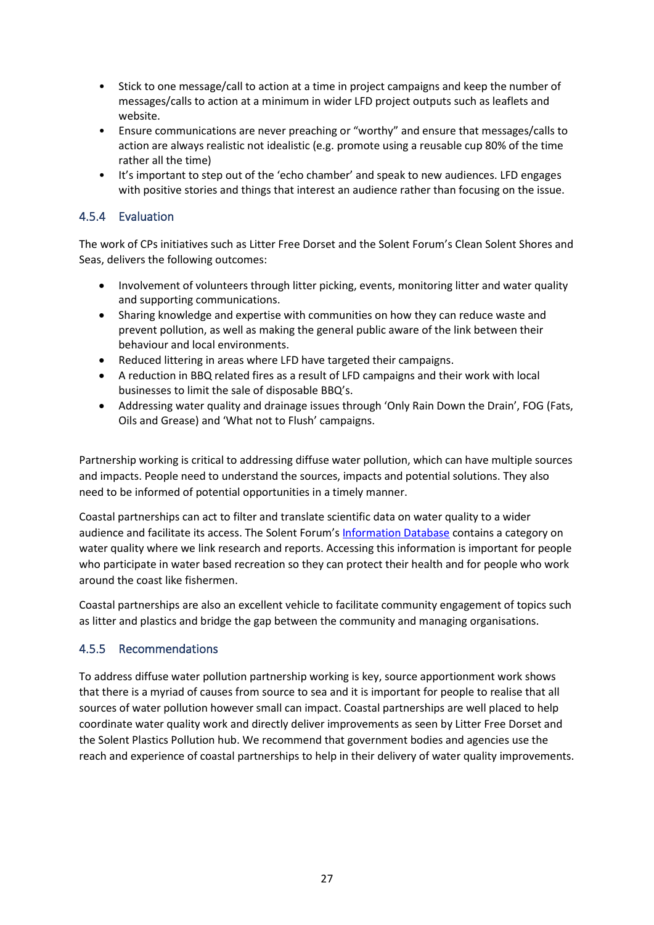- Stick to one message/call to action at a time in project campaigns and keep the number of messages/calls to action at a minimum in wider LFD project outputs such as leaflets and website.
- Ensure communications are never preaching or "worthy" and ensure that messages/calls to action are always realistic not idealistic (e.g. promote using a reusable cup 80% of the time rather all the time)
- It's important to step out of the 'echo chamber' and speak to new audiences. LFD engages with positive stories and things that interest an audience rather than focusing on the issue.

## <span id="page-26-0"></span>4.5.4 Evaluation

The work of CPs initiatives such as Litter Free Dorset and the Solent Forum's Clean Solent Shores and Seas, delivers the following outcomes:

- Involvement of volunteers through litter picking, events, monitoring litter and water quality and supporting communications.
- Sharing knowledge and expertise with communities on how they can reduce waste and prevent pollution, as well as making the general public aware of the link between their behaviour and local environments.
- Reduced littering in areas where LFD have targeted their campaigns.
- A reduction in BBQ related fires as a result of LFD campaigns and their work with local businesses to limit the sale of disposable BBQ's.
- Addressing water quality and drainage issues through 'Only Rain Down the Drain', FOG (Fats, Oils and Grease) and 'What not to Flush' campaigns.

Partnership working is critical to addressing diffuse water pollution, which can have multiple sources and impacts. People need to understand the sources, impacts and potential solutions. They also need to be informed of potential opportunities in a timely manner.

Coastal partnerships can act to filter and translate scientific data on water quality to a wider audience and facilitate its access. The Solent Forum's [Information Database](http://www.solentforum.org/publications/sid/) contains a category on water quality where we link research and reports. Accessing this information is important for people who participate in water based recreation so they can protect their health and for people who work around the coast like fishermen.

Coastal partnerships are also an excellent vehicle to facilitate community engagement of topics such as litter and plastics and bridge the gap between the community and managing organisations.

## <span id="page-26-1"></span>4.5.5 Recommendations

To address diffuse water pollution partnership working is key, source apportionment work shows that there is a myriad of causes from source to sea and it is important for people to realise that all sources of water pollution however small can impact. Coastal partnerships are well placed to help coordinate water quality work and directly deliver improvements as seen by Litter Free Dorset and the Solent Plastics Pollution hub. We recommend that government bodies and agencies use the reach and experience of coastal partnerships to help in their delivery of water quality improvements.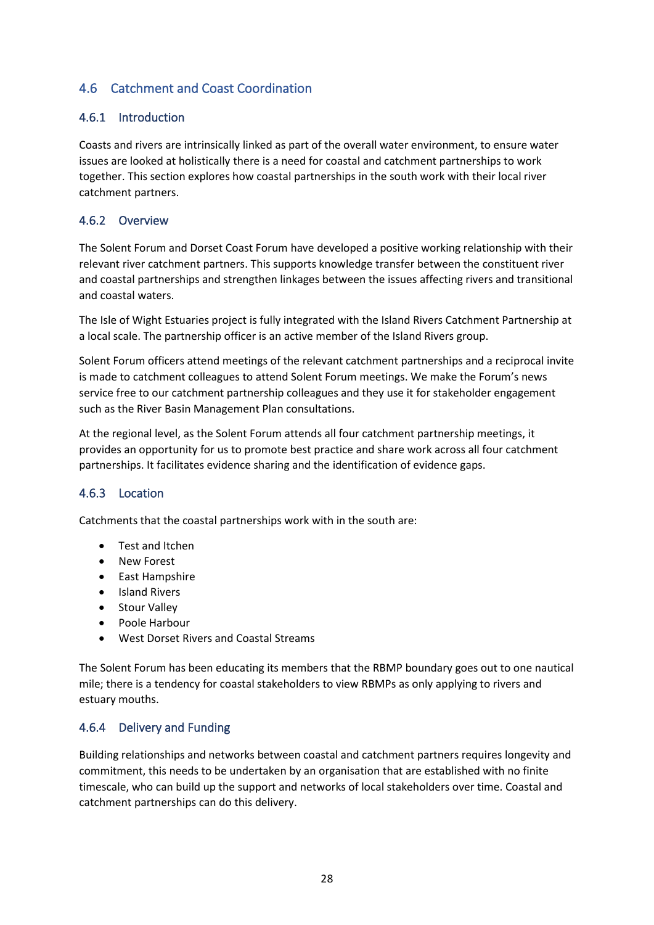# <span id="page-27-0"></span>4.6 Catchment and Coast Coordination

### <span id="page-27-1"></span>4.6.1 Introduction

Coasts and rivers are intrinsically linked as part of the overall water environment, to ensure water issues are looked at holistically there is a need for coastal and catchment partnerships to work together. This section explores how coastal partnerships in the south work with their local river catchment partners.

### <span id="page-27-2"></span>4.6.2 Overview

The Solent Forum and Dorset Coast Forum have developed a positive working relationship with their relevant river catchment partners. This supports knowledge transfer between the constituent river and coastal partnerships and strengthen linkages between the issues affecting rivers and transitional and coastal waters.

The Isle of Wight Estuaries project is fully integrated with the Island Rivers Catchment Partnership at a local scale. The partnership officer is an active member of the Island Rivers group.

Solent Forum officers attend meetings of the relevant catchment partnerships and a reciprocal invite is made to catchment colleagues to attend Solent Forum meetings. We make the Forum's news service free to our catchment partnership colleagues and they use it for stakeholder engagement such as the River Basin Management Plan consultations.

At the regional level, as the Solent Forum attends all four catchment partnership meetings, it provides an opportunity for us to promote best practice and share work across all four catchment partnerships. It facilitates evidence sharing and the identification of evidence gaps.

### <span id="page-27-3"></span>4.6.3 Location

Catchments that the coastal partnerships work with in the south are:

- Test and Itchen
- New Forest
- East Hampshire
- Island Rivers
- Stour Valley
- Poole Harbour
- West Dorset Rivers and Coastal Streams

The Solent Forum has been educating its members that the RBMP boundary goes out to one nautical mile; there is a tendency for coastal stakeholders to view RBMPs as only applying to rivers and estuary mouths.

### <span id="page-27-4"></span>4.6.4 Delivery and Funding

Building relationships and networks between coastal and catchment partners requires longevity and commitment, this needs to be undertaken by an organisation that are established with no finite timescale, who can build up the support and networks of local stakeholders over time. Coastal and catchment partnerships can do this delivery.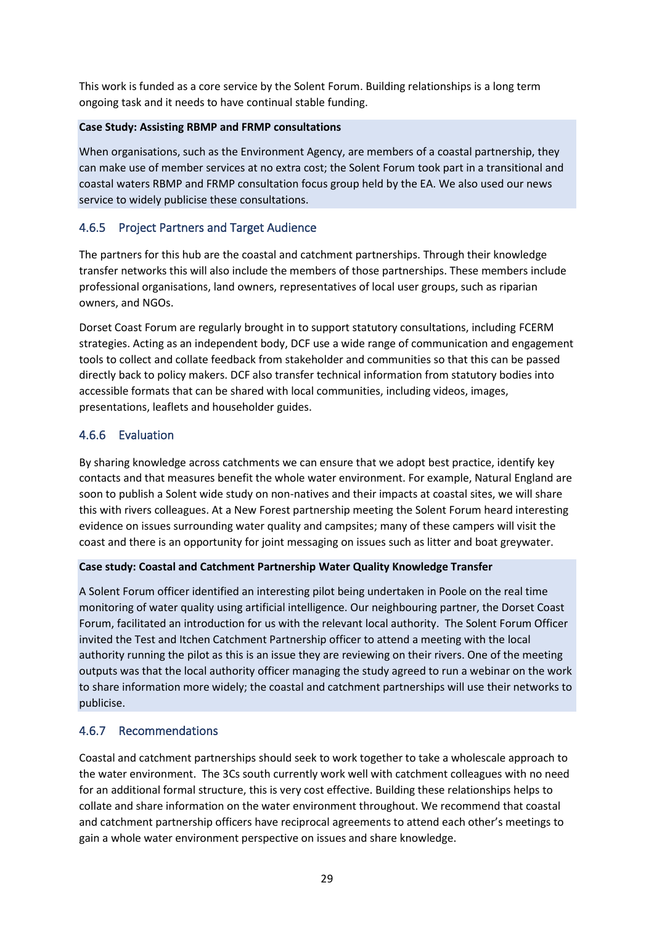This work is funded as a core service by the Solent Forum. Building relationships is a long term ongoing task and it needs to have continual stable funding.

### **Case Study: Assisting RBMP and FRMP consultations**

When organisations, such as the Environment Agency, are members of a coastal partnership, they can make use of member services at no extra cost; the Solent Forum took part in a transitional and coastal waters RBMP and FRMP consultation focus group held by the EA. We also used our news service to widely publicise these consultations.

## <span id="page-28-0"></span>4.6.5 Project Partners and Target Audience

The partners for this hub are the coastal and catchment partnerships. Through their knowledge transfer networks this will also include the members of those partnerships. These members include professional organisations, land owners, representatives of local user groups, such as riparian owners, and NGOs.

Dorset Coast Forum are regularly brought in to support statutory consultations, including FCERM strategies. Acting as an independent body, DCF use a wide range of communication and engagement tools to collect and collate feedback from stakeholder and communities so that this can be passed directly back to policy makers. DCF also transfer technical information from statutory bodies into accessible formats that can be shared with local communities, including videos, images, presentations, leaflets and householder guides.

## <span id="page-28-1"></span>4.6.6 Evaluation

By sharing knowledge across catchments we can ensure that we adopt best practice, identify key contacts and that measures benefit the whole water environment. For example, Natural England are soon to publish a Solent wide study on non-natives and their impacts at coastal sites, we will share this with rivers colleagues. At a New Forest partnership meeting the Solent Forum heard interesting evidence on issues surrounding water quality and campsites; many of these campers will visit the coast and there is an opportunity for joint messaging on issues such as litter and boat greywater.

### **Case study: Coastal and Catchment Partnership Water Quality Knowledge Transfer**

A Solent Forum officer identified an interesting pilot being undertaken in Poole on the real time monitoring of water quality using artificial intelligence. Our neighbouring partner, the Dorset Coast Forum, facilitated an introduction for us with the relevant local authority. The Solent Forum Officer invited the Test and Itchen Catchment Partnership officer to attend a meeting with the local authority running the pilot as this is an issue they are reviewing on their rivers. One of the meeting outputs was that the local authority officer managing the study agreed to run a webinar on the work to share information more widely; the coastal and catchment partnerships will use their networks to publicise.

### <span id="page-28-2"></span>4.6.7 Recommendations

Coastal and catchment partnerships should seek to work together to take a wholescale approach to the water environment. The 3Cs south currently work well with catchment colleagues with no need for an additional formal structure, this is very cost effective. Building these relationships helps to collate and share information on the water environment throughout. We recommend that coastal and catchment partnership officers have reciprocal agreements to attend each other's meetings to gain a whole water environment perspective on issues and share knowledge.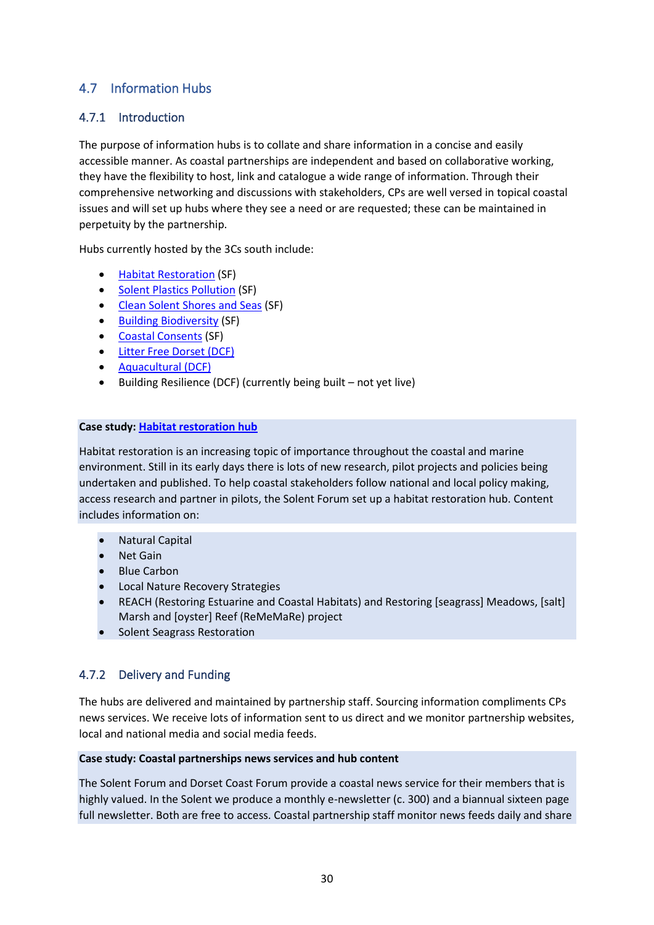# <span id="page-29-0"></span>4.7 Information Hubs

# <span id="page-29-1"></span>4.7.1 Introduction

The purpose of information hubs is to collate and share information in a concise and easily accessible manner. As coastal partnerships are independent and based on collaborative working, they have the flexibility to host, link and catalogue a wide range of information. Through their comprehensive networking and discussions with stakeholders, CPs are well versed in topical coastal issues and will set up hubs where they see a need or are requested; these can be maintained in perpetuity by the partnership.

Hubs currently hosted by the 3Cs south include:

- [Habitat Restoration](http://www.solentforum.org/services/Member_Services/Building_Bioversity_hub/) (SF)
- [Solent Plastics Pollution](http://www.solentforum.org/services/Current_Projects/Solent_Plastics_Hub/) (SF)
- [Clean Solent Shores and Seas](http://www.solentforum.org/services/Member_Services/css/) (SF)
- [Building Biodiversity](http://www.solentforum.org/services/Member_Services/Building_Bioversity_hub/) (SF)
- [Coastal Consents](http://www.solentforum.org/publications/key_publications/coastal_consents_guide/) (SF)
- [Litter Free Dorset \(DCF\)](https://www.litterfreedorset.co.uk/resource-hub/)
- [Aquacultural \(DCF\)](https://www.dorsetaquaculture.co.uk/)
- Building Resilience (DCF) (currently being built not yet live)

### **Case study: [Habitat restoration hub](http://www.solentforum.org/services/Member_Services/Habitat_Restoration)**

Habitat restoration is an increasing topic of importance throughout the coastal and marine environment. Still in its early days there is lots of new research, pilot projects and policies being undertaken and published. To help coastal stakeholders follow national and local policy making, access research and partner in pilots, the Solent Forum set up a habitat restoration hub. Content includes information on:

- Natural Capital
- Net Gain
- Blue Carbon
- Local Nature Recovery Strategies
- REACH (Restoring Estuarine and Coastal Habitats) and Restoring [seagrass] Meadows, [salt] Marsh and [oyster] Reef (ReMeMaRe) project
- Solent Seagrass Restoration

## <span id="page-29-2"></span>4.7.2 Delivery and Funding

The hubs are delivered and maintained by partnership staff. Sourcing information compliments CPs news services. We receive lots of information sent to us direct and we monitor partnership websites, local and national media and social media feeds.

#### **Case study: Coastal partnerships news services and hub content**

The Solent Forum and Dorset Coast Forum provide a coastal news service for their members that is highly valued. In the Solent we produce a monthly e-newsletter (c. 300) and a biannual sixteen page full newsletter. Both are free to access. Coastal partnership staff monitor news feeds daily and share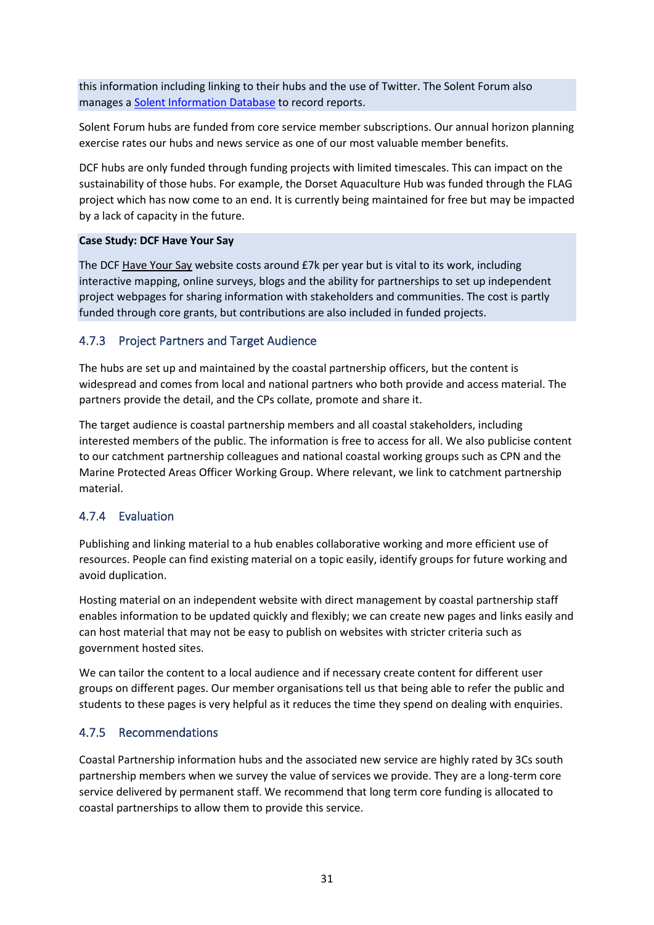this information including linking to their hubs and the use of Twitter. The Solent Forum also manages a [Solent Information Database](http://www.solentforum.org/publications/sid/) to record reports.

Solent Forum hubs are funded from core service member subscriptions. Our annual horizon planning exercise rates our hubs and news service as one of our most valuable member benefits.

DCF hubs are only funded through funding projects with limited timescales. This can impact on the sustainability of those hubs. For example, the Dorset Aquaculture Hub was funded through the FLAG project which has now come to an end. It is currently being maintained for free but may be impacted by a lack of capacity in the future.

### **Case Study: DCF Have Your Say**

The DCF [Have Your Say](https://www.dorsetcoasthaveyoursay.co.uk/) website costs around £7k per year but is vital to its work, including interactive mapping, online surveys, blogs and the ability for partnerships to set up independent project webpages for sharing information with stakeholders and communities. The cost is partly funded through core grants, but contributions are also included in funded projects.

### <span id="page-30-0"></span>4.7.3 Project Partners and Target Audience

The hubs are set up and maintained by the coastal partnership officers, but the content is widespread and comes from local and national partners who both provide and access material. The partners provide the detail, and the CPs collate, promote and share it.

The target audience is coastal partnership members and all coastal stakeholders, including interested members of the public. The information is free to access for all. We also publicise content to our catchment partnership colleagues and national coastal working groups such as CPN and the Marine Protected Areas Officer Working Group. Where relevant, we link to catchment partnership material.

## <span id="page-30-1"></span>4.7.4 Evaluation

Publishing and linking material to a hub enables collaborative working and more efficient use of resources. People can find existing material on a topic easily, identify groups for future working and avoid duplication.

Hosting material on an independent website with direct management by coastal partnership staff enables information to be updated quickly and flexibly; we can create new pages and links easily and can host material that may not be easy to publish on websites with stricter criteria such as government hosted sites.

We can tailor the content to a local audience and if necessary create content for different user groups on different pages. Our member organisations tell us that being able to refer the public and students to these pages is very helpful as it reduces the time they spend on dealing with enquiries.

### <span id="page-30-2"></span>4.7.5 Recommendations

Coastal Partnership information hubs and the associated new service are highly rated by 3Cs south partnership members when we survey the value of services we provide. They are a long-term core service delivered by permanent staff. We recommend that long term core funding is allocated to coastal partnerships to allow them to provide this service.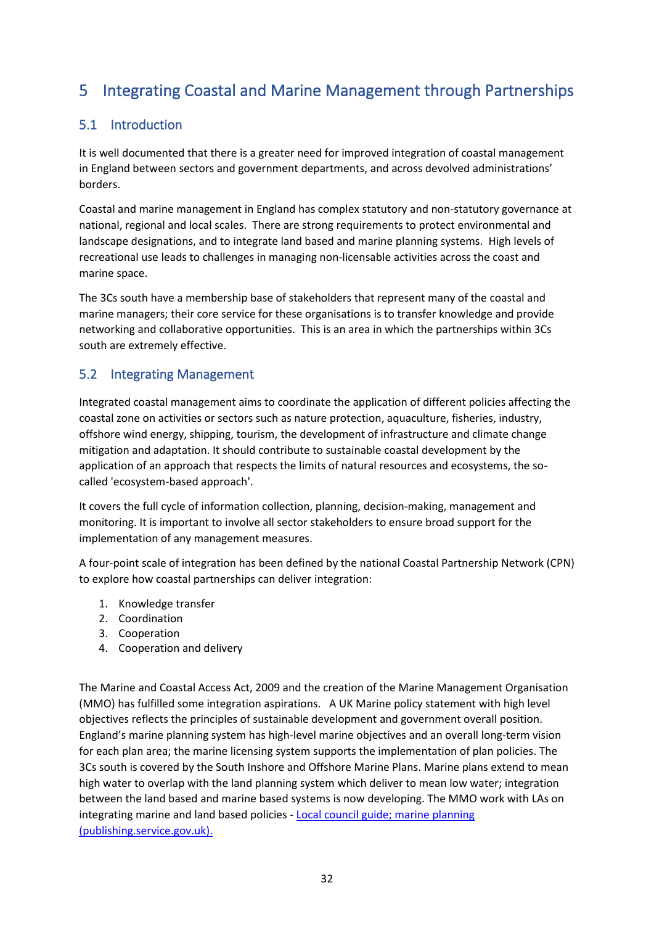# <span id="page-31-0"></span>5 Integrating Coastal and Marine Management through Partnerships

# <span id="page-31-1"></span>5.1 Introduction

It is well documented that there is a greater need for improved integration of coastal management in England between sectors and government departments, and across devolved administrations' borders.

Coastal and marine management in England has complex statutory and non-statutory governance at national, regional and local scales. There are strong requirements to protect environmental and landscape designations, and to integrate land based and marine planning systems. High levels of recreational use leads to challenges in managing non-licensable activities across the coast and marine space.

The 3Cs south have a membership base of stakeholders that represent many of the coastal and marine managers; their core service for these organisations is to transfer knowledge and provide networking and collaborative opportunities. This is an area in which the partnerships within 3Cs south are extremely effective.

# <span id="page-31-2"></span>5.2 Integrating Management

Integrated coastal management aims to coordinate the application of different policies affecting the coastal zone on activities or sectors such as nature protection, aquaculture, fisheries, industry, offshore wind energy, shipping, tourism, the development of infrastructure and climate change mitigation and adaptation. It should contribute to sustainable coastal development by the application of an approach that respects the limits of natural resources and ecosystems, the socalled 'ecosystem-based approach'.

It covers the full cycle of information collection, planning, decision-making, management and monitoring. It is important to involve all sector stakeholders to ensure broad support for the implementation of any management measures.

A four-point scale of integration has been defined by the national Coastal Partnership Network (CPN) to explore how coastal partnerships can deliver integration:

- 1. Knowledge transfer
- 2. Coordination
- 3. Cooperation
- 4. Cooperation and delivery

The Marine and Coastal Access Act, 2009 and the creation of the Marine Management Organisation (MMO) has fulfilled some integration aspirations. A UK Marine policy statement with high level objectives reflects the principles of sustainable development and government overall position. England's marine planning system has high-level marine objectives and an overall long-term vision for each plan area; the marine licensing system supports the implementation of plan policies. The 3Cs south is covered by the South Inshore and Offshore Marine Plans. Marine plans extend to mean high water to overlap with the land planning system which deliver to mean low water; integration between the land based and marine based systems is now developing. The MMO work with LAs on integrating marine and land based policies - [Local council guide; marine planning](https://assets.publishing.service.gov.uk/government/uploads/system/uploads/attachment_data/file/928831/Local_council_guide_-_marine_planning_v3.pdf)  [\(publishing.service.gov.uk\).](https://assets.publishing.service.gov.uk/government/uploads/system/uploads/attachment_data/file/928831/Local_council_guide_-_marine_planning_v3.pdf)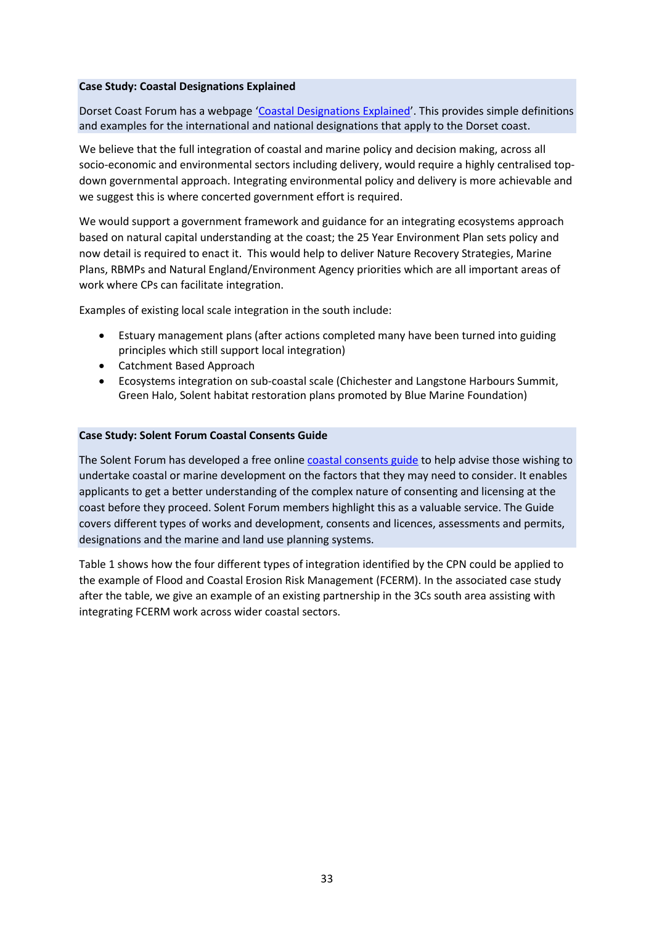#### **Case Study: Coastal Designations Explained**

Dorset Coast Forum has a webpage '[Coastal Designations Explained](https://www.dorsetcoast.com/resources/coastal-designations-explained/)'. This provides simple definitions and examples for the international and national designations that apply to the Dorset coast.

We believe that the full integration of coastal and marine policy and decision making, across all socio-economic and environmental sectors including delivery, would require a highly centralised topdown governmental approach. Integrating environmental policy and delivery is more achievable and we suggest this is where concerted government effort is required.

We would support a government framework and guidance for an integrating ecosystems approach based on natural capital understanding at the coast; the 25 Year Environment Plan sets policy and now detail is required to enact it. This would help to deliver Nature Recovery Strategies, Marine Plans, RBMPs and Natural England/Environment Agency priorities which are all important areas of work where CPs can facilitate integration.

Examples of existing local scale integration in the south include:

- Estuary management plans (after actions completed many have been turned into guiding principles which still support local integration)
- Catchment Based Approach
- Ecosystems integration on sub-coastal scale (Chichester and Langstone Harbours Summit, Green Halo, Solent habitat restoration plans promoted by Blue Marine Foundation)

#### **Case Study: Solent Forum Coastal Consents Guide**

The Solent Forum has developed a free online [coastal consents guide](http://www.solentforum.org/publications/key_publications/coastal_consents_guide/) to help advise those wishing to undertake coastal or marine development on the factors that they may need to consider. It enables applicants to get a better understanding of the complex nature of consenting and licensing at the coast before they proceed. Solent Forum members highlight this as a valuable service. The Guide covers different types of works and development, consents and licences, assessments and permits, designations and the marine and land use planning systems.

Table 1 shows how the four different types of integration identified by the CPN could be applied to the example of Flood and Coastal Erosion Risk Management (FCERM). In the associated case study after the table, we give an example of an existing partnership in the 3Cs south area assisting with integrating FCERM work across wider coastal sectors.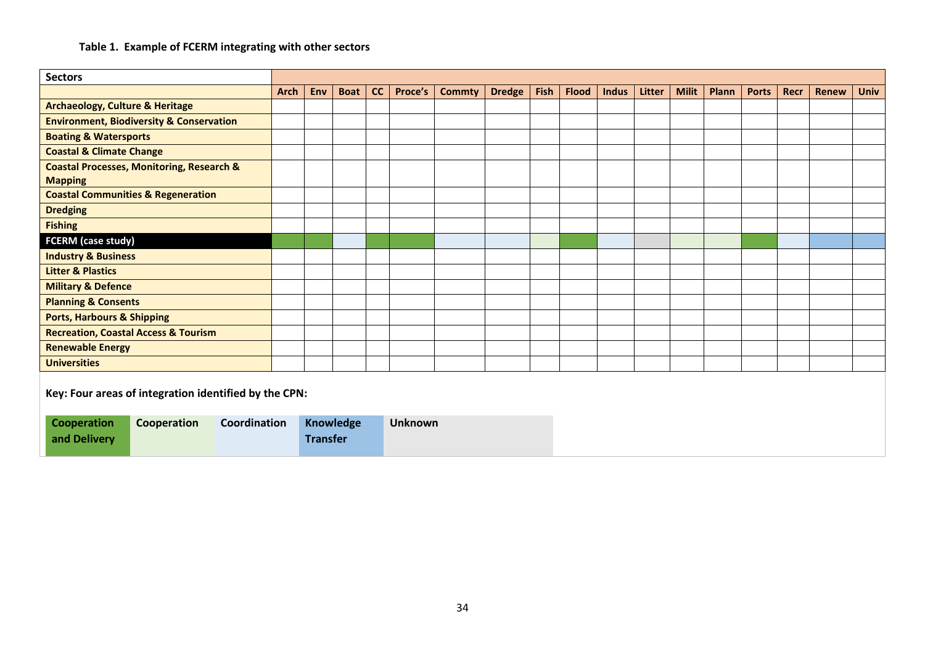### **Table 1. Example of FCERM integrating with other sectors**

| <b>Sectors</b>                                                    |             |                 |                  |    |                |               |               |      |              |              |        |              |       |              |      |              |             |
|-------------------------------------------------------------------|-------------|-----------------|------------------|----|----------------|---------------|---------------|------|--------------|--------------|--------|--------------|-------|--------------|------|--------------|-------------|
|                                                                   | <b>Arch</b> | Env             | <b>Boat</b>      | cc | Proce's        | <b>Commty</b> | <b>Dredge</b> | Fish | <b>Flood</b> | <b>Indus</b> | Litter | <b>Milit</b> | Plann | <b>Ports</b> | Recr | <b>Renew</b> | <b>Univ</b> |
| <b>Archaeology, Culture &amp; Heritage</b>                        |             |                 |                  |    |                |               |               |      |              |              |        |              |       |              |      |              |             |
| <b>Environment, Biodiversity &amp; Conservation</b>               |             |                 |                  |    |                |               |               |      |              |              |        |              |       |              |      |              |             |
| <b>Boating &amp; Watersports</b>                                  |             |                 |                  |    |                |               |               |      |              |              |        |              |       |              |      |              |             |
| <b>Coastal &amp; Climate Change</b>                               |             |                 |                  |    |                |               |               |      |              |              |        |              |       |              |      |              |             |
| <b>Coastal Processes, Monitoring, Research &amp;</b>              |             |                 |                  |    |                |               |               |      |              |              |        |              |       |              |      |              |             |
| <b>Mapping</b>                                                    |             |                 |                  |    |                |               |               |      |              |              |        |              |       |              |      |              |             |
| <b>Coastal Communities &amp; Regeneration</b>                     |             |                 |                  |    |                |               |               |      |              |              |        |              |       |              |      |              |             |
| <b>Dredging</b>                                                   |             |                 |                  |    |                |               |               |      |              |              |        |              |       |              |      |              |             |
| <b>Fishing</b>                                                    |             |                 |                  |    |                |               |               |      |              |              |        |              |       |              |      |              |             |
| <b>FCERM (case study)</b>                                         |             |                 |                  |    |                |               |               |      |              |              |        |              |       |              |      |              |             |
| <b>Industry &amp; Business</b>                                    |             |                 |                  |    |                |               |               |      |              |              |        |              |       |              |      |              |             |
| <b>Litter &amp; Plastics</b>                                      |             |                 |                  |    |                |               |               |      |              |              |        |              |       |              |      |              |             |
| <b>Military &amp; Defence</b>                                     |             |                 |                  |    |                |               |               |      |              |              |        |              |       |              |      |              |             |
| <b>Planning &amp; Consents</b>                                    |             |                 |                  |    |                |               |               |      |              |              |        |              |       |              |      |              |             |
| <b>Ports, Harbours &amp; Shipping</b>                             |             |                 |                  |    |                |               |               |      |              |              |        |              |       |              |      |              |             |
| <b>Recreation, Coastal Access &amp; Tourism</b>                   |             |                 |                  |    |                |               |               |      |              |              |        |              |       |              |      |              |             |
| <b>Renewable Energy</b>                                           |             |                 |                  |    |                |               |               |      |              |              |        |              |       |              |      |              |             |
| <b>Universities</b>                                               |             |                 |                  |    |                |               |               |      |              |              |        |              |       |              |      |              |             |
| Key: Four areas of integration identified by the CPN:             |             |                 |                  |    |                |               |               |      |              |              |        |              |       |              |      |              |             |
| <b>Cooperation</b><br>Cooperation<br>Coordination<br>and Delivery |             | <b>Transfer</b> | <b>Knowledge</b> |    | <b>Unknown</b> |               |               |      |              |              |        |              |       |              |      |              |             |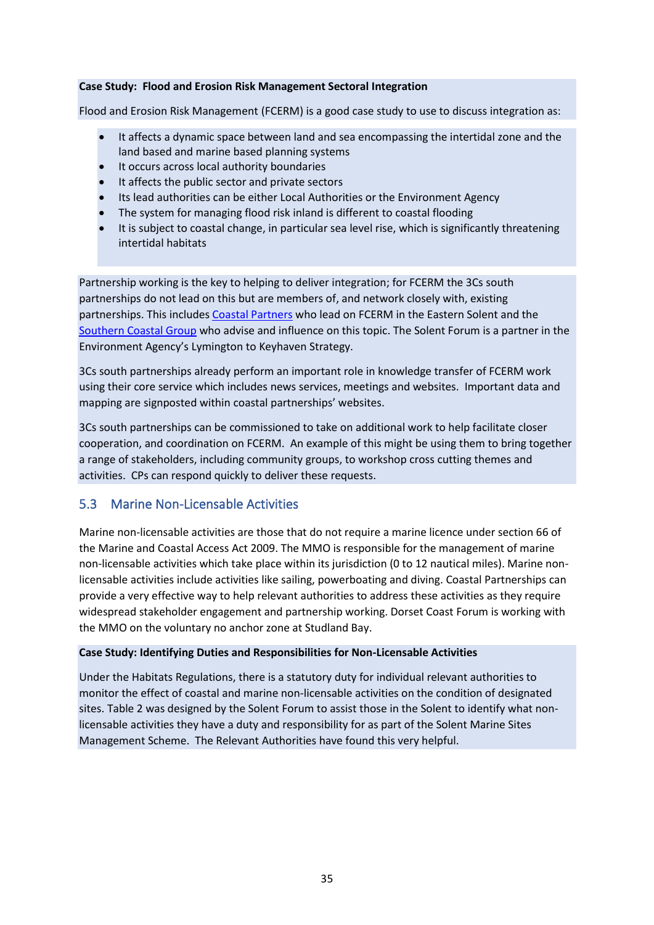#### **Case Study: Flood and Erosion Risk Management Sectoral Integration**

Flood and Erosion Risk Management (FCERM) is a good case study to use to discuss integration as:

- It affects a dynamic space between land and sea encompassing the intertidal zone and the land based and marine based planning systems
- It occurs across local authority boundaries
- It affects the public sector and private sectors
- Its lead authorities can be either Local Authorities or the Environment Agency
- The system for managing flood risk inland is different to coastal flooding
- It is subject to coastal change, in particular sea level rise, which is significantly threatening intertidal habitats

Partnership working is the key to helping to deliver integration; for FCERM the 3Cs south partnerships do not lead on this but are members of, and network closely with, existing partnerships. This include[s Coastal Partners](https://coastalpartners.org.uk/) who lead on FCERM in the Eastern Solent and the [Southern Coastal Group](https://southerncoastalgroup-scopac.org.uk/) who advise and influence on this topic. The Solent Forum is a partner in the Environment Agency's Lymington to Keyhaven Strategy.

3Cs south partnerships already perform an important role in knowledge transfer of FCERM work using their core service which includes news services, meetings and websites. Important data and mapping are signposted within coastal partnerships' websites.

3Cs south partnerships can be commissioned to take on additional work to help facilitate closer cooperation, and coordination on FCERM. An example of this might be using them to bring together a range of stakeholders, including community groups, to workshop cross cutting themes and activities. CPs can respond quickly to deliver these requests.

## <span id="page-34-0"></span>5.3 Marine Non-Licensable Activities

Marine non-licensable activities are those that do not require a marine licence under section 66 of the Marine and Coastal Access Act 2009. The MMO is responsible for the management of marine non-licensable activities which take place within its jurisdiction (0 to 12 nautical miles). Marine nonlicensable activities include activities like sailing, powerboating and diving. Coastal Partnerships can provide a very effective way to help relevant authorities to address these activities as they require widespread stakeholder engagement and partnership working. Dorset Coast Forum is working with the MMO on the voluntary no anchor zone at Studland Bay.

#### **Case Study: Identifying Duties and Responsibilities for Non-Licensable Activities**

Under the Habitats Regulations, there is a statutory duty for individual relevant authorities to monitor the effect of coastal and marine non-licensable activities on the condition of designated sites. Table 2 was designed by the Solent Forum to assist those in the Solent to identify what nonlicensable activities they have a duty and responsibility for as part of the Solent Marine Sites Management Scheme. The Relevant Authorities have found this very helpful.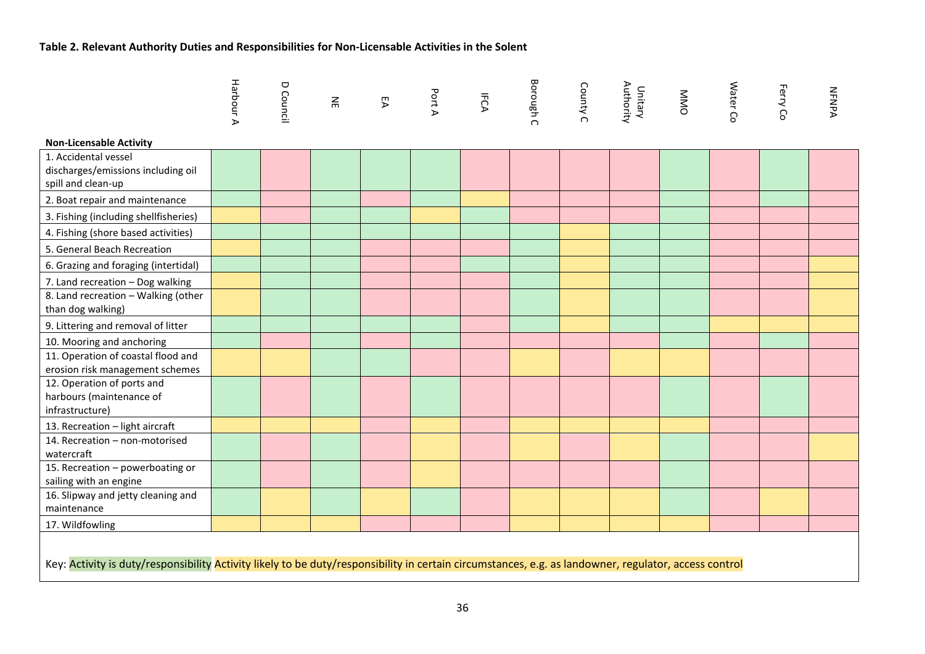# **Table 2. Relevant Authority Duties and Responsibilities for Non-Licensable Activities in the Solent**

|                                                                                                                                                       | Harbour A | D Council | $\Xi$ | EA | Port A | IFCA | <b>Borough C</b> | County C | Unitary<br>Authority | <b>NND</b> | Water Co | Ferry Co | <b>NFNPA</b> |
|-------------------------------------------------------------------------------------------------------------------------------------------------------|-----------|-----------|-------|----|--------|------|------------------|----------|----------------------|------------|----------|----------|--------------|
| <b>Non-Licensable Activity</b>                                                                                                                        |           |           |       |    |        |      |                  |          |                      |            |          |          |              |
| 1. Accidental vessel<br>discharges/emissions including oil<br>spill and clean-up                                                                      |           |           |       |    |        |      |                  |          |                      |            |          |          |              |
| 2. Boat repair and maintenance                                                                                                                        |           |           |       |    |        |      |                  |          |                      |            |          |          |              |
| 3. Fishing (including shellfisheries)                                                                                                                 |           |           |       |    |        |      |                  |          |                      |            |          |          |              |
| 4. Fishing (shore based activities)                                                                                                                   |           |           |       |    |        |      |                  |          |                      |            |          |          |              |
| 5. General Beach Recreation                                                                                                                           |           |           |       |    |        |      |                  |          |                      |            |          |          |              |
| 6. Grazing and foraging (intertidal)                                                                                                                  |           |           |       |    |        |      |                  |          |                      |            |          |          |              |
| 7. Land recreation - Dog walking                                                                                                                      |           |           |       |    |        |      |                  |          |                      |            |          |          |              |
| 8. Land recreation - Walking (other<br>than dog walking)                                                                                              |           |           |       |    |        |      |                  |          |                      |            |          |          |              |
| 9. Littering and removal of litter                                                                                                                    |           |           |       |    |        |      |                  |          |                      |            |          |          |              |
| 10. Mooring and anchoring                                                                                                                             |           |           |       |    |        |      |                  |          |                      |            |          |          |              |
| 11. Operation of coastal flood and<br>erosion risk management schemes                                                                                 |           |           |       |    |        |      |                  |          |                      |            |          |          |              |
| 12. Operation of ports and<br>harbours (maintenance of<br>infrastructure)                                                                             |           |           |       |    |        |      |                  |          |                      |            |          |          |              |
| 13. Recreation - light aircraft                                                                                                                       |           |           |       |    |        |      |                  |          |                      |            |          |          |              |
| 14. Recreation - non-motorised<br>watercraft                                                                                                          |           |           |       |    |        |      |                  |          |                      |            |          |          |              |
| 15. Recreation - powerboating or<br>sailing with an engine                                                                                            |           |           |       |    |        |      |                  |          |                      |            |          |          |              |
| 16. Slipway and jetty cleaning and<br>maintenance                                                                                                     |           |           |       |    |        |      |                  |          |                      |            |          |          |              |
| 17. Wildfowling                                                                                                                                       |           |           |       |    |        |      |                  |          |                      |            |          |          |              |
| Key: Activity is duty/responsibility Activity likely to be duty/responsibility in certain circumstances, e.g. as landowner, regulator, access control |           |           |       |    |        |      |                  |          |                      |            |          |          |              |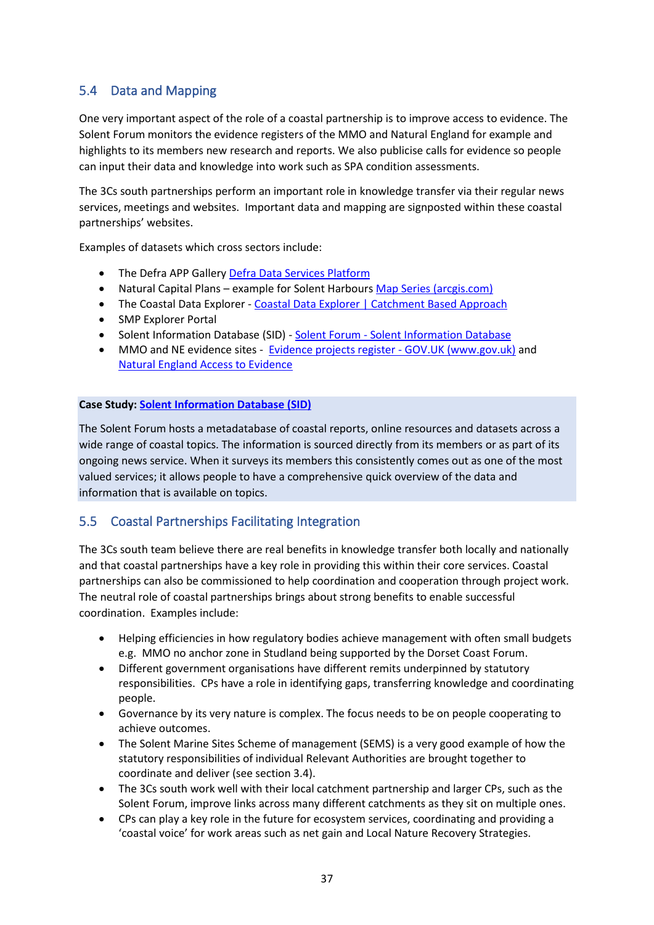# <span id="page-36-0"></span>5.4 Data and Mapping

One very important aspect of the role of a coastal partnership is to improve access to evidence. The Solent Forum monitors the evidence registers of the MMO and Natural England for example and highlights to its members new research and reports. We also publicise calls for evidence so people can input their data and knowledge into work such as SPA condition assessments.

The 3Cs south partnerships perform an important role in knowledge transfer via their regular news services, meetings and websites. Important data and mapping are signposted within these coastal partnerships' websites.

Examples of datasets which cross sectors include:

- The Defra APP Gallery [Defra Data Services Platform](https://environment.data.gov.uk/appgallery)
- Natural Capital Plans example for Solent Harbours [Map Series \(arcgis.com\)](https://atkinsgeospatial.maps.arcgis.com/apps/MapSeries/index.html?appid=df7efec2b0fb4eb1ac22f02cd35c037f)
- The Coastal Data Explorer [Coastal Data Explorer | Catchment Based Approach](https://data.catchmentbasedapproach.org/apps/d5a3fcd28b9c4cde9caf894cbc690e4a/explore)
- SMP Explorer Portal
- [Solent Information Database](http://www.solentforum.org/publications/sid/) (SID) Solent Forum Solent Information Database
- MMO and NE evidence sites Evidence projects register GOV.UK (www.gov.uk) and [Natural England Access to Evidence](http://publications.naturalengland.org.uk/)

#### **Case Study: [Solent Information Database](http://www.solentforum.org/publications/sid/) (SID)**

The Solent Forum hosts a metadatabase of coastal reports, online resources and datasets across a wide range of coastal topics. The information is sourced directly from its members or as part of its ongoing news service. When it surveys its members this consistently comes out as one of the most valued services; it allows people to have a comprehensive quick overview of the data and information that is available on topics.

## <span id="page-36-1"></span>5.5 Coastal Partnerships Facilitating Integration

The 3Cs south team believe there are real benefits in knowledge transfer both locally and nationally and that coastal partnerships have a key role in providing this within their core services. Coastal partnerships can also be commissioned to help coordination and cooperation through project work. The neutral role of coastal partnerships brings about strong benefits to enable successful coordination. Examples include:

- Helping efficiencies in how regulatory bodies achieve management with often small budgets e.g. MMO no anchor zone in Studland being supported by the Dorset Coast Forum.
- Different government organisations have different remits underpinned by statutory responsibilities. CPs have a role in identifying gaps, transferring knowledge and coordinating people.
- Governance by its very nature is complex. The focus needs to be on people cooperating to achieve outcomes.
- The Solent Marine Sites Scheme of management (SEMS) is a very good example of how the statutory responsibilities of individual Relevant Authorities are brought together to coordinate and deliver (see section 3.4).
- The 3Cs south work well with their local catchment partnership and larger CPs, such as the Solent Forum, improve links across many different catchments as they sit on multiple ones.
- CPs can play a key role in the future for ecosystem services, coordinating and providing a 'coastal voice' for work areas such as net gain and Local Nature Recovery Strategies.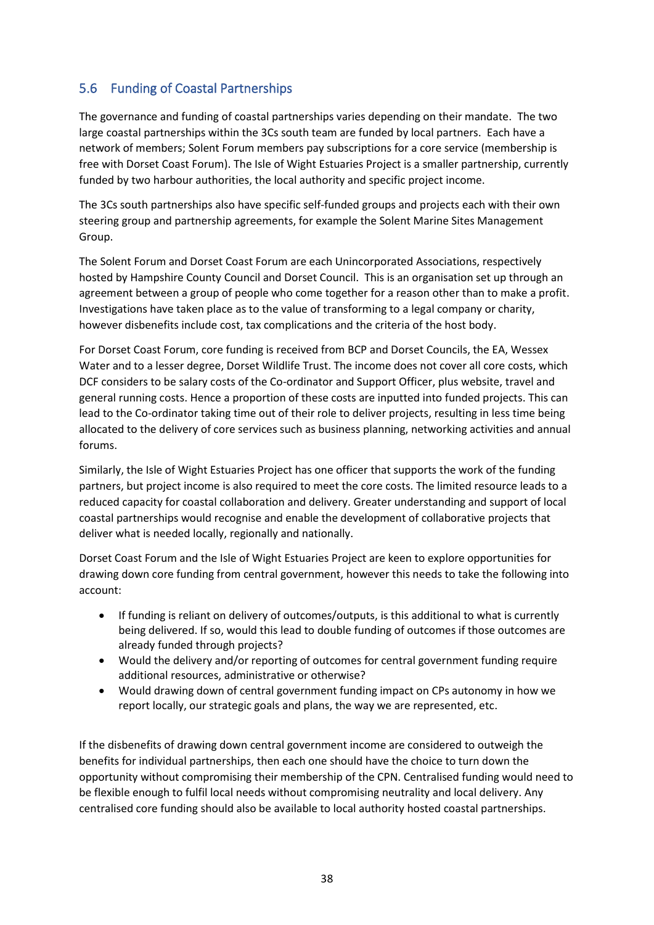# <span id="page-37-0"></span>5.6 Funding of Coastal Partnerships

The governance and funding of coastal partnerships varies depending on their mandate. The two large coastal partnerships within the 3Cs south team are funded by local partners. Each have a network of members; Solent Forum members pay subscriptions for a core service (membership is free with Dorset Coast Forum). The Isle of Wight Estuaries Project is a smaller partnership, currently funded by two harbour authorities, the local authority and specific project income.

The 3Cs south partnerships also have specific self-funded groups and projects each with their own steering group and partnership agreements, for example the Solent Marine Sites Management Group.

The Solent Forum and Dorset Coast Forum are each Unincorporated Associations, respectively hosted by Hampshire County Council and Dorset Council. This is an organisation set up through an agreement between a group of people who come together for a reason other than to make a profit. Investigations have taken place as to the value of transforming to a legal company or charity, however disbenefits include cost, tax complications and the criteria of the host body.

For Dorset Coast Forum, core funding is received from BCP and Dorset Councils, the EA, Wessex Water and to a lesser degree, Dorset Wildlife Trust. The income does not cover all core costs, which DCF considers to be salary costs of the Co-ordinator and Support Officer, plus website, travel and general running costs. Hence a proportion of these costs are inputted into funded projects. This can lead to the Co-ordinator taking time out of their role to deliver projects, resulting in less time being allocated to the delivery of core services such as business planning, networking activities and annual forums.

Similarly, the Isle of Wight Estuaries Project has one officer that supports the work of the funding partners, but project income is also required to meet the core costs. The limited resource leads to a reduced capacity for coastal collaboration and delivery. Greater understanding and support of local coastal partnerships would recognise and enable the development of collaborative projects that deliver what is needed locally, regionally and nationally.

Dorset Coast Forum and the Isle of Wight Estuaries Project are keen to explore opportunities for drawing down core funding from central government, however this needs to take the following into account:

- If funding is reliant on delivery of outcomes/outputs, is this additional to what is currently being delivered. If so, would this lead to double funding of outcomes if those outcomes are already funded through projects?
- Would the delivery and/or reporting of outcomes for central government funding require additional resources, administrative or otherwise?
- Would drawing down of central government funding impact on CPs autonomy in how we report locally, our strategic goals and plans, the way we are represented, etc.

If the disbenefits of drawing down central government income are considered to outweigh the benefits for individual partnerships, then each one should have the choice to turn down the opportunity without compromising their membership of the CPN. Centralised funding would need to be flexible enough to fulfil local needs without compromising neutrality and local delivery. Any centralised core funding should also be available to local authority hosted coastal partnerships.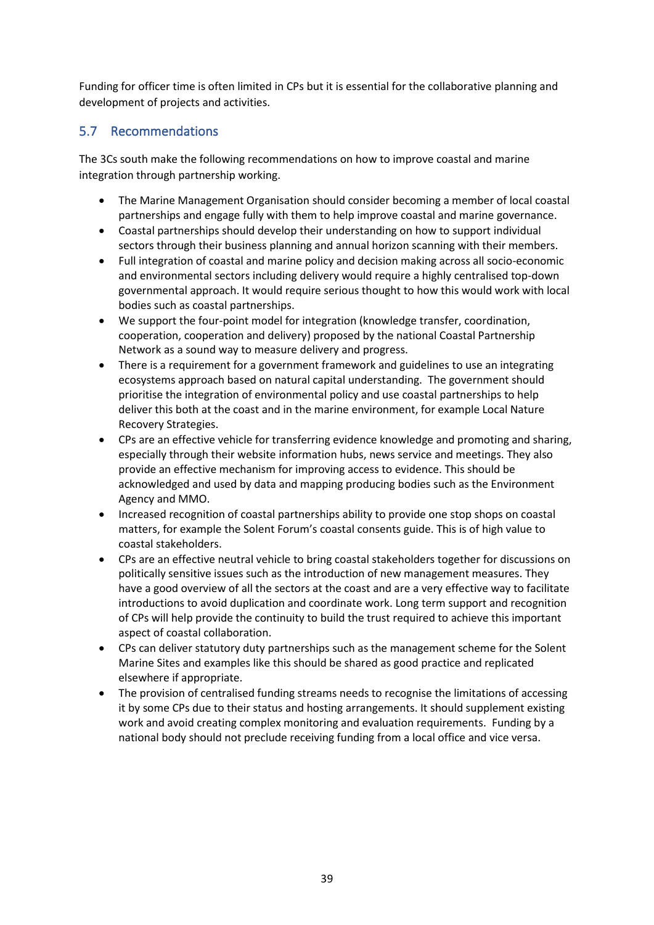Funding for officer time is often limited in CPs but it is essential for the collaborative planning and development of projects and activities.

# <span id="page-38-0"></span>5.7 Recommendations

The 3Cs south make the following recommendations on how to improve coastal and marine integration through partnership working.

- The Marine Management Organisation should consider becoming a member of local coastal partnerships and engage fully with them to help improve coastal and marine governance.
- Coastal partnerships should develop their understanding on how to support individual sectors through their business planning and annual horizon scanning with their members.
- Full integration of coastal and marine policy and decision making across all socio-economic and environmental sectors including delivery would require a highly centralised top-down governmental approach. It would require serious thought to how this would work with local bodies such as coastal partnerships.
- We support the four-point model for integration (knowledge transfer, coordination, cooperation, cooperation and delivery) proposed by the national Coastal Partnership Network as a sound way to measure delivery and progress.
- There is a requirement for a government framework and guidelines to use an integrating ecosystems approach based on natural capital understanding. The government should prioritise the integration of environmental policy and use coastal partnerships to help deliver this both at the coast and in the marine environment, for example Local Nature Recovery Strategies.
- CPs are an effective vehicle for transferring evidence knowledge and promoting and sharing, especially through their website information hubs, news service and meetings. They also provide an effective mechanism for improving access to evidence. This should be acknowledged and used by data and mapping producing bodies such as the Environment Agency and MMO.
- Increased recognition of coastal partnerships ability to provide one stop shops on coastal matters, for example the Solent Forum's coastal consents guide. This is of high value to coastal stakeholders.
- CPs are an effective neutral vehicle to bring coastal stakeholders together for discussions on politically sensitive issues such as the introduction of new management measures. They have a good overview of all the sectors at the coast and are a very effective way to facilitate introductions to avoid duplication and coordinate work. Long term support and recognition of CPs will help provide the continuity to build the trust required to achieve this important aspect of coastal collaboration.
- CPs can deliver statutory duty partnerships such as the management scheme for the Solent Marine Sites and examples like this should be shared as good practice and replicated elsewhere if appropriate.
- The provision of centralised funding streams needs to recognise the limitations of accessing it by some CPs due to their status and hosting arrangements. It should supplement existing work and avoid creating complex monitoring and evaluation requirements. Funding by a national body should not preclude receiving funding from a local office and vice versa.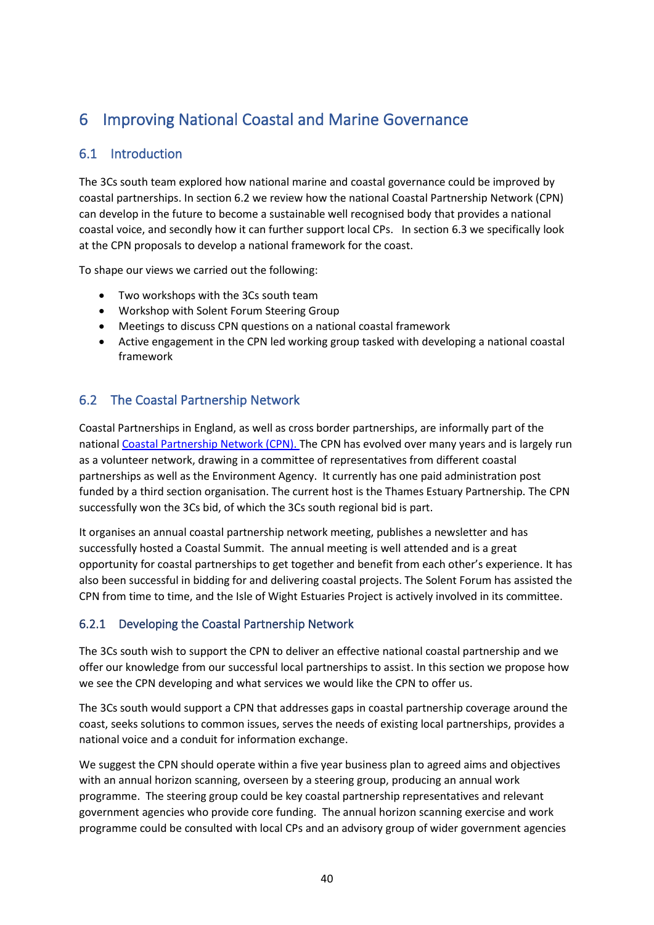# <span id="page-39-0"></span>6 Improving National Coastal and Marine Governance

# <span id="page-39-1"></span>6.1 Introduction

The 3Cs south team explored how national marine and coastal governance could be improved by coastal partnerships. In section 6.2 we review how the national Coastal Partnership Network (CPN) can develop in the future to become a sustainable well recognised body that provides a national coastal voice, and secondly how it can further support local CPs. In section 6.3 we specifically look at the CPN proposals to develop a national framework for the coast.

To shape our views we carried out the following:

- Two workshops with the 3Cs south team
- Workshop with Solent Forum Steering Group
- Meetings to discuss CPN questions on a national coastal framework
- Active engagement in the CPN led working group tasked with developing a national coastal framework

# <span id="page-39-2"></span>6.2 The Coastal Partnership Network

Coastal Partnerships in England, as well as cross border partnerships, are informally part of the national [Coastal Partnership Network \(CPN\). T](http://www.coastalpartnershipsnetwork.org.uk/)he CPN has evolved over many years and is largely run as a volunteer network, drawing in a committee of representatives from different coastal partnerships as well as the Environment Agency. It currently has one paid administration post funded by a third section organisation. The current host is the Thames Estuary Partnership. The CPN successfully won the 3Cs bid, of which the 3Cs south regional bid is part.

It organises an annual coastal partnership network meeting, publishes a newsletter and has successfully hosted a Coastal Summit. The annual meeting is well attended and is a great opportunity for coastal partnerships to get together and benefit from each other's experience. It has also been successful in bidding for and delivering coastal projects. The Solent Forum has assisted the CPN from time to time, and the Isle of Wight Estuaries Project is actively involved in its committee.

## <span id="page-39-3"></span>6.2.1 Developing the Coastal Partnership Network

The 3Cs south wish to support the CPN to deliver an effective national coastal partnership and we offer our knowledge from our successful local partnerships to assist. In this section we propose how we see the CPN developing and what services we would like the CPN to offer us.

The 3Cs south would support a CPN that addresses gaps in coastal partnership coverage around the coast, seeks solutions to common issues, serves the needs of existing local partnerships, provides a national voice and a conduit for information exchange.

We suggest the CPN should operate within a five year business plan to agreed aims and objectives with an annual horizon scanning, overseen by a steering group, producing an annual work programme. The steering group could be key coastal partnership representatives and relevant government agencies who provide core funding. The annual horizon scanning exercise and work programme could be consulted with local CPs and an advisory group of wider government agencies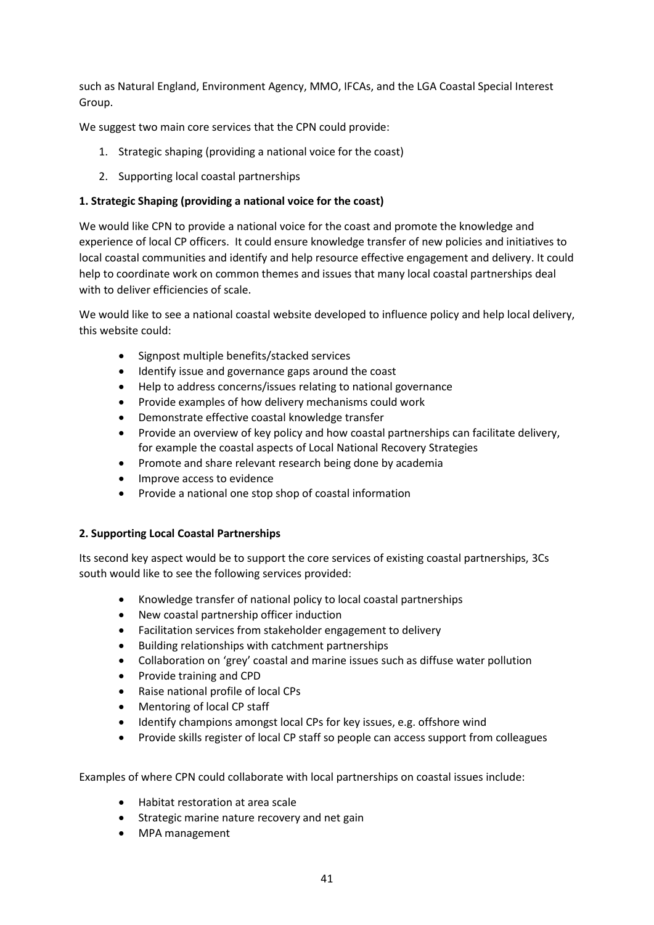such as Natural England, Environment Agency, MMO, IFCAs, and the LGA Coastal Special Interest Group.

We suggest two main core services that the CPN could provide:

- 1. Strategic shaping (providing a national voice for the coast)
- 2. Supporting local coastal partnerships

### **1. Strategic Shaping (providing a national voice for the coast)**

We would like CPN to provide a national voice for the coast and promote the knowledge and experience of local CP officers. It could ensure knowledge transfer of new policies and initiatives to local coastal communities and identify and help resource effective engagement and delivery. It could help to coordinate work on common themes and issues that many local coastal partnerships deal with to deliver efficiencies of scale.

We would like to see a national coastal website developed to influence policy and help local delivery, this website could:

- Signpost multiple benefits/stacked services
- Identify issue and governance gaps around the coast
- Help to address concerns/issues relating to national governance
- Provide examples of how delivery mechanisms could work
- Demonstrate effective coastal knowledge transfer
- Provide an overview of key policy and how coastal partnerships can facilitate delivery, for example the coastal aspects of Local National Recovery Strategies
- Promote and share relevant research being done by academia
- Improve access to evidence
- Provide a national one stop shop of coastal information

### **2. Supporting Local Coastal Partnerships**

Its second key aspect would be to support the core services of existing coastal partnerships, 3Cs south would like to see the following services provided:

- Knowledge transfer of national policy to local coastal partnerships
- New coastal partnership officer induction
- Facilitation services from stakeholder engagement to delivery
- Building relationships with catchment partnerships
- Collaboration on 'grey' coastal and marine issues such as diffuse water pollution
- Provide training and CPD
- Raise national profile of local CPs
- Mentoring of local CP staff
- Identify champions amongst local CPs for key issues, e.g. offshore wind
- Provide skills register of local CP staff so people can access support from colleagues

Examples of where CPN could collaborate with local partnerships on coastal issues include:

- Habitat restoration at area scale
- Strategic marine nature recovery and net gain
- MPA management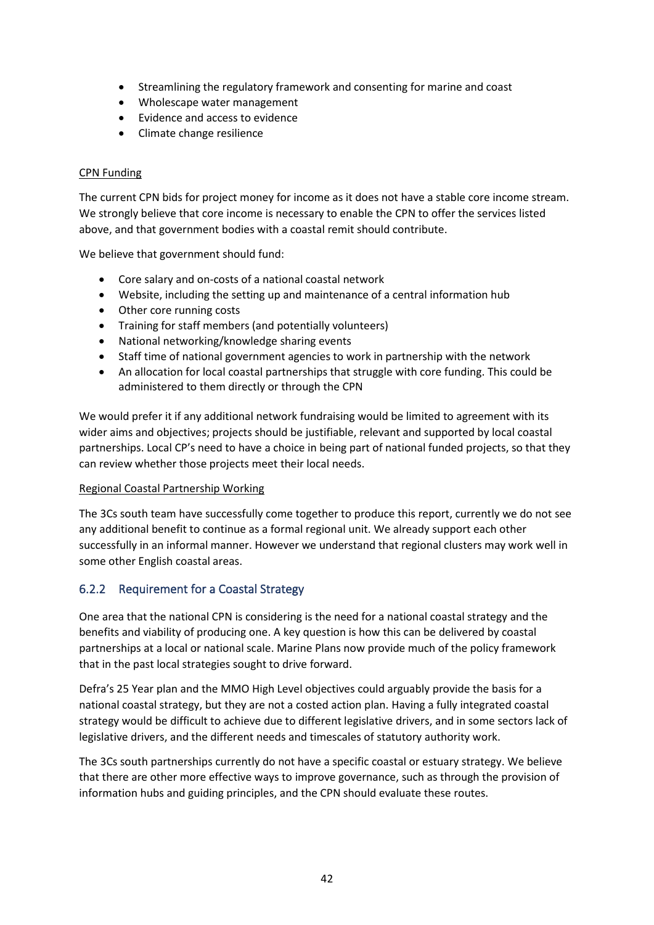- Streamlining the regulatory framework and consenting for marine and coast
- Wholescape water management
- Evidence and access to evidence
- Climate change resilience

### CPN Funding

The current CPN bids for project money for income as it does not have a stable core income stream. We strongly believe that core income is necessary to enable the CPN to offer the services listed above, and that government bodies with a coastal remit should contribute.

We believe that government should fund:

- Core salary and on-costs of a national coastal network
- Website, including the setting up and maintenance of a central information hub
- Other core running costs
- Training for staff members (and potentially volunteers)
- National networking/knowledge sharing events
- Staff time of national government agencies to work in partnership with the network
- An allocation for local coastal partnerships that struggle with core funding. This could be administered to them directly or through the CPN

We would prefer it if any additional network fundraising would be limited to agreement with its wider aims and objectives; projects should be justifiable, relevant and supported by local coastal partnerships. Local CP's need to have a choice in being part of national funded projects, so that they can review whether those projects meet their local needs.

### Regional Coastal Partnership Working

The 3Cs south team have successfully come together to produce this report, currently we do not see any additional benefit to continue as a formal regional unit. We already support each other successfully in an informal manner. However we understand that regional clusters may work well in some other English coastal areas.

## <span id="page-41-0"></span>6.2.2 Requirement for a Coastal Strategy

One area that the national CPN is considering is the need for a national coastal strategy and the benefits and viability of producing one. A key question is how this can be delivered by coastal partnerships at a local or national scale. Marine Plans now provide much of the policy framework that in the past local strategies sought to drive forward.

Defra's 25 Year plan and the MMO High Level objectives could arguably provide the basis for a national coastal strategy, but they are not a costed action plan. Having a fully integrated coastal strategy would be difficult to achieve due to different legislative drivers, and in some sectors lack of legislative drivers, and the different needs and timescales of statutory authority work.

The 3Cs south partnerships currently do not have a specific coastal or estuary strategy. We believe that there are other more effective ways to improve governance, such as through the provision of information hubs and guiding principles, and the CPN should evaluate these routes.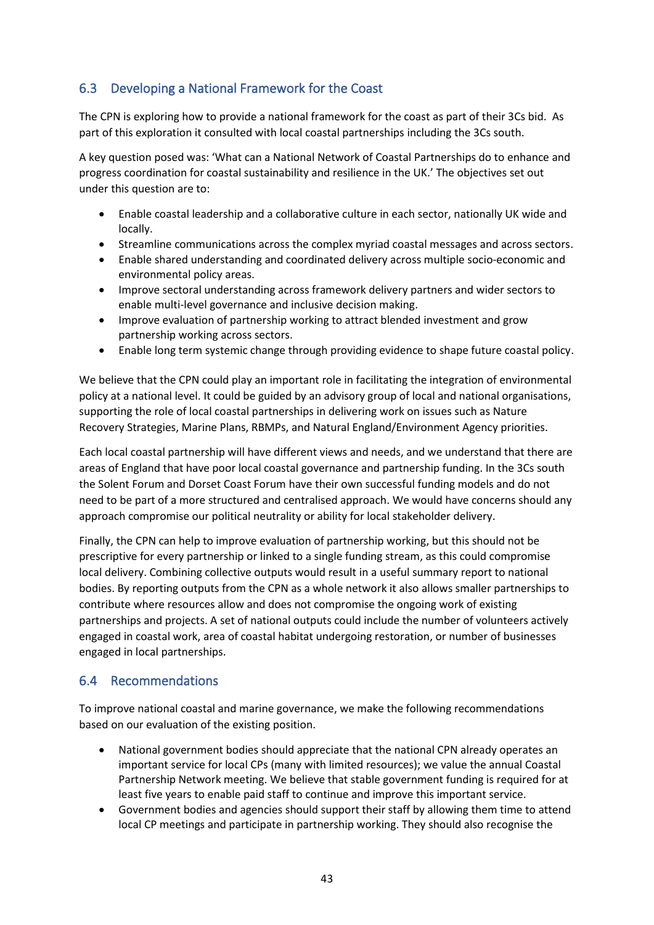# <span id="page-42-0"></span>6.3 Developing a National Framework for the Coast

The CPN is exploring how to provide a national framework for the coast as part of their 3Cs bid. As part of this exploration it consulted with local coastal partnerships including the 3Cs south.

A key question posed was: 'What can a National Network of Coastal Partnerships do to enhance and progress coordination for coastal sustainability and resilience in the UK.' The objectives set out under this question are to:

- Enable coastal leadership and a collaborative culture in each sector, nationally UK wide and locally.
- Streamline communications across the complex myriad coastal messages and across sectors.
- Enable shared understanding and coordinated delivery across multiple socio-economic and environmental policy areas.
- Improve sectoral understanding across framework delivery partners and wider sectors to enable multi-level governance and inclusive decision making.
- Improve evaluation of partnership working to attract blended investment and grow partnership working across sectors.
- Enable long term systemic change through providing evidence to shape future coastal policy.

We believe that the CPN could play an important role in facilitating the integration of environmental policy at a national level. It could be guided by an advisory group of local and national organisations, supporting the role of local coastal partnerships in delivering work on issues such as Nature Recovery Strategies, Marine Plans, RBMPs, and Natural England/Environment Agency priorities.

Each local coastal partnership will have different views and needs, and we understand that there are areas of England that have poor local coastal governance and partnership funding. In the 3Cs south the Solent Forum and Dorset Coast Forum have their own successful funding models and do not need to be part of a more structured and centralised approach. We would have concerns should any approach compromise our political neutrality or ability for local stakeholder delivery.

Finally, the CPN can help to improve evaluation of partnership working, but this should not be prescriptive for every partnership or linked to a single funding stream, as this could compromise local delivery. Combining collective outputs would result in a useful summary report to national bodies. By reporting outputs from the CPN as a whole network it also allows smaller partnerships to contribute where resources allow and does not compromise the ongoing work of existing partnerships and projects. A set of national outputs could include the number of volunteers actively engaged in coastal work, area of coastal habitat undergoing restoration, or number of businesses engaged in local partnerships.

## <span id="page-42-1"></span>6.4 Recommendations

To improve national coastal and marine governance, we make the following recommendations based on our evaluation of the existing position.

- National government bodies should appreciate that the national CPN already operates an important service for local CPs (many with limited resources); we value the annual Coastal Partnership Network meeting. We believe that stable government funding is required for at least five years to enable paid staff to continue and improve this important service.
- Government bodies and agencies should support their staff by allowing them time to attend local CP meetings and participate in partnership working. They should also recognise the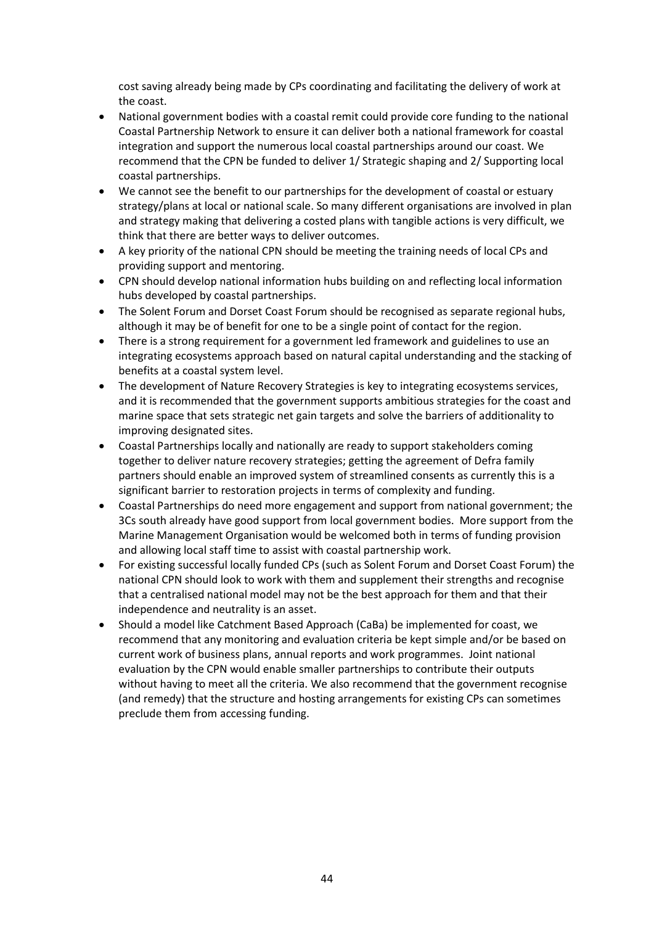cost saving already being made by CPs coordinating and facilitating the delivery of work at the coast.

- National government bodies with a coastal remit could provide core funding to the national Coastal Partnership Network to ensure it can deliver both a national framework for coastal integration and support the numerous local coastal partnerships around our coast. We recommend that the CPN be funded to deliver 1/ Strategic shaping and 2/ Supporting local coastal partnerships.
- We cannot see the benefit to our partnerships for the development of coastal or estuary strategy/plans at local or national scale. So many different organisations are involved in plan and strategy making that delivering a costed plans with tangible actions is very difficult, we think that there are better ways to deliver outcomes.
- A key priority of the national CPN should be meeting the training needs of local CPs and providing support and mentoring.
- CPN should develop national information hubs building on and reflecting local information hubs developed by coastal partnerships.
- The Solent Forum and Dorset Coast Forum should be recognised as separate regional hubs, although it may be of benefit for one to be a single point of contact for the region.
- There is a strong requirement for a government led framework and guidelines to use an integrating ecosystems approach based on natural capital understanding and the stacking of benefits at a coastal system level.
- The development of Nature Recovery Strategies is key to integrating ecosystems services, and it is recommended that the government supports ambitious strategies for the coast and marine space that sets strategic net gain targets and solve the barriers of additionality to improving designated sites.
- Coastal Partnerships locally and nationally are ready to support stakeholders coming together to deliver nature recovery strategies; getting the agreement of Defra family partners should enable an improved system of streamlined consents as currently this is a significant barrier to restoration projects in terms of complexity and funding.
- Coastal Partnerships do need more engagement and support from national government; the 3Cs south already have good support from local government bodies. More support from the Marine Management Organisation would be welcomed both in terms of funding provision and allowing local staff time to assist with coastal partnership work.
- For existing successful locally funded CPs (such as Solent Forum and Dorset Coast Forum) the national CPN should look to work with them and supplement their strengths and recognise that a centralised national model may not be the best approach for them and that their independence and neutrality is an asset.
- Should a model like Catchment Based Approach (CaBa) be implemented for coast, we recommend that any monitoring and evaluation criteria be kept simple and/or be based on current work of business plans, annual reports and work programmes. Joint national evaluation by the CPN would enable smaller partnerships to contribute their outputs without having to meet all the criteria. We also recommend that the government recognise (and remedy) that the structure and hosting arrangements for existing CPs can sometimes preclude them from accessing funding.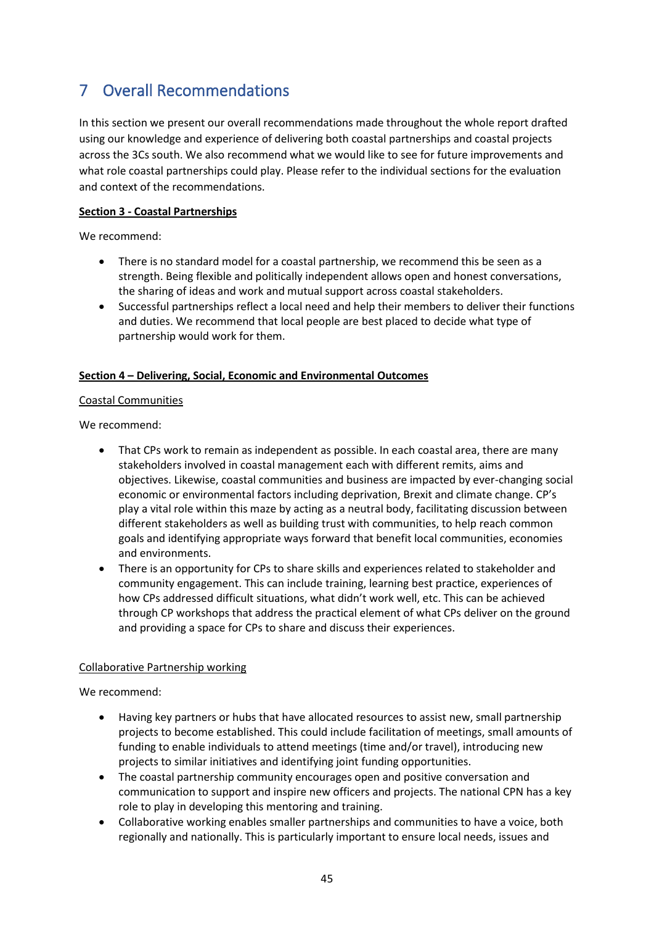# <span id="page-44-0"></span>7 Overall Recommendations

In this section we present our overall recommendations made throughout the whole report drafted using our knowledge and experience of delivering both coastal partnerships and coastal projects across the 3Cs south. We also recommend what we would like to see for future improvements and what role coastal partnerships could play. Please refer to the individual sections for the evaluation and context of the recommendations.

### **Section 3 - Coastal Partnerships**

We recommend:

- There is no standard model for a coastal partnership, we recommend this be seen as a strength. Being flexible and politically independent allows open and honest conversations, the sharing of ideas and work and mutual support across coastal stakeholders.
- Successful partnerships reflect a local need and help their members to deliver their functions and duties. We recommend that local people are best placed to decide what type of partnership would work for them.

### **Section 4 – Delivering, Social, Economic and Environmental Outcomes**

#### Coastal Communities

We recommend:

- That CPs work to remain as independent as possible. In each coastal area, there are many stakeholders involved in coastal management each with different remits, aims and objectives. Likewise, coastal communities and business are impacted by ever-changing social economic or environmental factors including deprivation, Brexit and climate change. CP's play a vital role within this maze by acting as a neutral body, facilitating discussion between different stakeholders as well as building trust with communities, to help reach common goals and identifying appropriate ways forward that benefit local communities, economies and environments.
- There is an opportunity for CPs to share skills and experiences related to stakeholder and community engagement. This can include training, learning best practice, experiences of how CPs addressed difficult situations, what didn't work well, etc. This can be achieved through CP workshops that address the practical element of what CPs deliver on the ground and providing a space for CPs to share and discuss their experiences.

### Collaborative Partnership working

We recommend:

- Having key partners or hubs that have allocated resources to assist new, small partnership projects to become established. This could include facilitation of meetings, small amounts of funding to enable individuals to attend meetings (time and/or travel), introducing new projects to similar initiatives and identifying joint funding opportunities.
- The coastal partnership community encourages open and positive conversation and communication to support and inspire new officers and projects. The national CPN has a key role to play in developing this mentoring and training.
- Collaborative working enables smaller partnerships and communities to have a voice, both regionally and nationally. This is particularly important to ensure local needs, issues and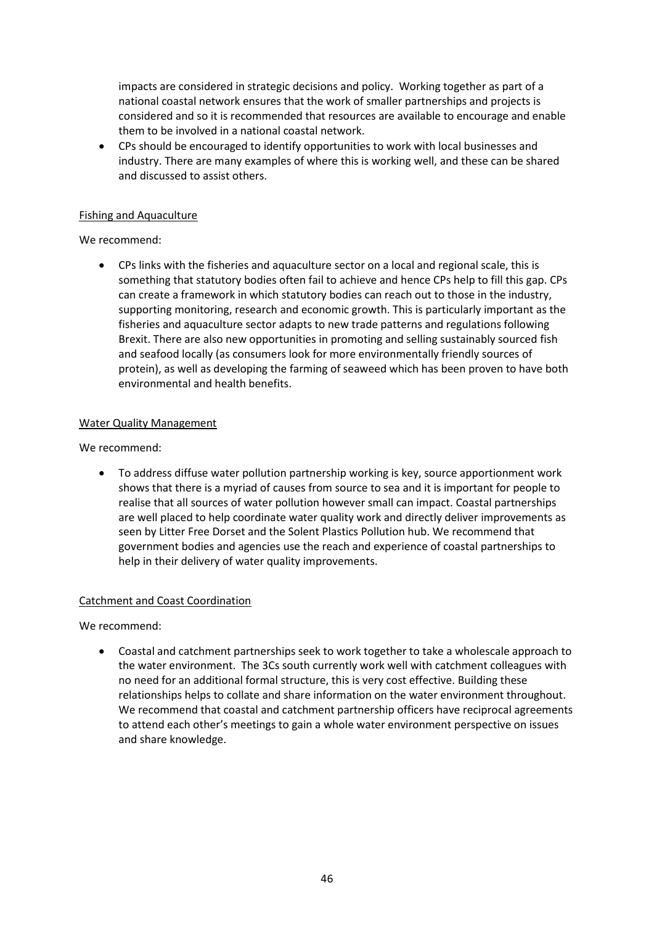impacts are considered in strategic decisions and policy. Working together as part of a national coastal network ensures that the work of smaller partnerships and projects is considered and so it is recommended that resources are available to encourage and enable them to be involved in a national coastal network.

• CPs should be encouraged to identify opportunities to work with local businesses and industry. There are many examples of where this is working well, and these can be shared and discussed to assist others.

#### Fishing and Aquaculture

### We recommend:

• CPs links with the fisheries and aquaculture sector on a local and regional scale, this is something that statutory bodies often fail to achieve and hence CPs help to fill this gap. CPs can create a framework in which statutory bodies can reach out to those in the industry, supporting monitoring, research and economic growth. This is particularly important as the fisheries and aquaculture sector adapts to new trade patterns and regulations following Brexit. There are also new opportunities in promoting and selling sustainably sourced fish and seafood locally (as consumers look for more environmentally friendly sources of protein), as well as developing the farming of seaweed which has been proven to have both environmental and health benefits.

### Water Quality Management

We recommend:

• To address diffuse water pollution partnership working is key, source apportionment work shows that there is a myriad of causes from source to sea and it is important for people to realise that all sources of water pollution however small can impact. Coastal partnerships are well placed to help coordinate water quality work and directly deliver improvements as seen by Litter Free Dorset and the Solent Plastics Pollution hub. We recommend that government bodies and agencies use the reach and experience of coastal partnerships to help in their delivery of water quality improvements.

#### Catchment and Coast Coordination

We recommend:

• Coastal and catchment partnerships seek to work together to take a wholescale approach to the water environment. The 3Cs south currently work well with catchment colleagues with no need for an additional formal structure, this is very cost effective. Building these relationships helps to collate and share information on the water environment throughout. We recommend that coastal and catchment partnership officers have reciprocal agreements to attend each other's meetings to gain a whole water environment perspective on issues and share knowledge.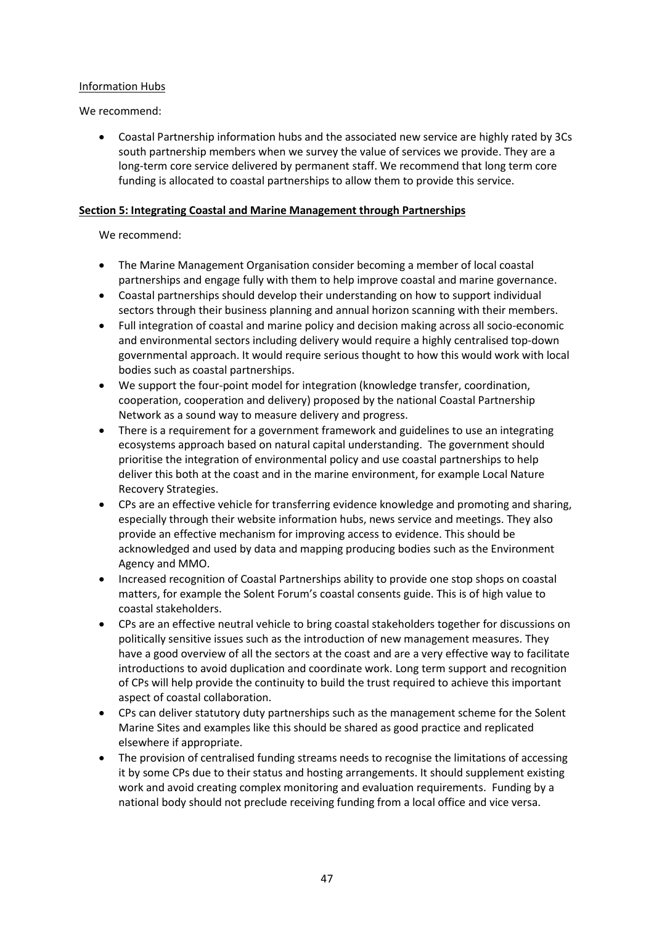### Information Hubs

### We recommend:

• Coastal Partnership information hubs and the associated new service are highly rated by 3Cs south partnership members when we survey the value of services we provide. They are a long-term core service delivered by permanent staff. We recommend that long term core funding is allocated to coastal partnerships to allow them to provide this service.

### **Section 5: Integrating Coastal and Marine Management through Partnerships**

### We recommend:

- The Marine Management Organisation consider becoming a member of local coastal partnerships and engage fully with them to help improve coastal and marine governance.
- Coastal partnerships should develop their understanding on how to support individual sectors through their business planning and annual horizon scanning with their members.
- Full integration of coastal and marine policy and decision making across all socio-economic and environmental sectors including delivery would require a highly centralised top-down governmental approach. It would require serious thought to how this would work with local bodies such as coastal partnerships.
- We support the four-point model for integration (knowledge transfer, coordination, cooperation, cooperation and delivery) proposed by the national Coastal Partnership Network as a sound way to measure delivery and progress.
- There is a requirement for a government framework and guidelines to use an integrating ecosystems approach based on natural capital understanding. The government should prioritise the integration of environmental policy and use coastal partnerships to help deliver this both at the coast and in the marine environment, for example Local Nature Recovery Strategies.
- CPs are an effective vehicle for transferring evidence knowledge and promoting and sharing, especially through their website information hubs, news service and meetings. They also provide an effective mechanism for improving access to evidence. This should be acknowledged and used by data and mapping producing bodies such as the Environment Agency and MMO.
- Increased recognition of Coastal Partnerships ability to provide one stop shops on coastal matters, for example the Solent Forum's coastal consents guide. This is of high value to coastal stakeholders.
- CPs are an effective neutral vehicle to bring coastal stakeholders together for discussions on politically sensitive issues such as the introduction of new management measures. They have a good overview of all the sectors at the coast and are a very effective way to facilitate introductions to avoid duplication and coordinate work. Long term support and recognition of CPs will help provide the continuity to build the trust required to achieve this important aspect of coastal collaboration.
- CPs can deliver statutory duty partnerships such as the management scheme for the Solent Marine Sites and examples like this should be shared as good practice and replicated elsewhere if appropriate.
- The provision of centralised funding streams needs to recognise the limitations of accessing it by some CPs due to their status and hosting arrangements. It should supplement existing work and avoid creating complex monitoring and evaluation requirements. Funding by a national body should not preclude receiving funding from a local office and vice versa.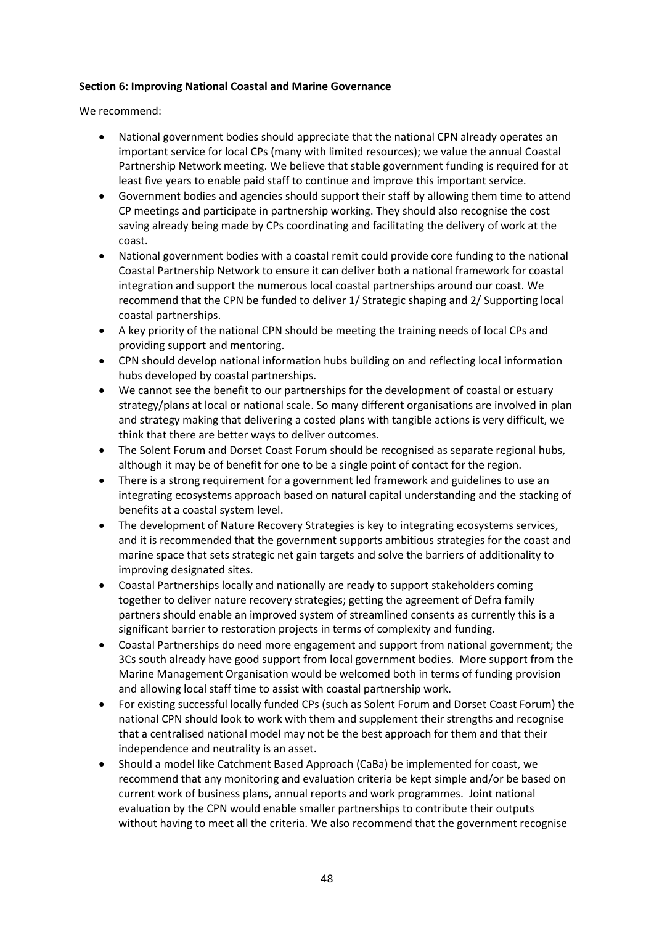### **Section 6: Improving National Coastal and Marine Governance**

We recommend:

- National government bodies should appreciate that the national CPN already operates an important service for local CPs (many with limited resources); we value the annual Coastal Partnership Network meeting. We believe that stable government funding is required for at least five years to enable paid staff to continue and improve this important service.
- Government bodies and agencies should support their staff by allowing them time to attend CP meetings and participate in partnership working. They should also recognise the cost saving already being made by CPs coordinating and facilitating the delivery of work at the coast.
- National government bodies with a coastal remit could provide core funding to the national Coastal Partnership Network to ensure it can deliver both a national framework for coastal integration and support the numerous local coastal partnerships around our coast. We recommend that the CPN be funded to deliver 1/ Strategic shaping and 2/ Supporting local coastal partnerships.
- A key priority of the national CPN should be meeting the training needs of local CPs and providing support and mentoring.
- CPN should develop national information hubs building on and reflecting local information hubs developed by coastal partnerships.
- We cannot see the benefit to our partnerships for the development of coastal or estuary strategy/plans at local or national scale. So many different organisations are involved in plan and strategy making that delivering a costed plans with tangible actions is very difficult, we think that there are better ways to deliver outcomes.
- The Solent Forum and Dorset Coast Forum should be recognised as separate regional hubs, although it may be of benefit for one to be a single point of contact for the region.
- There is a strong requirement for a government led framework and guidelines to use an integrating ecosystems approach based on natural capital understanding and the stacking of benefits at a coastal system level.
- The development of Nature Recovery Strategies is key to integrating ecosystems services, and it is recommended that the government supports ambitious strategies for the coast and marine space that sets strategic net gain targets and solve the barriers of additionality to improving designated sites.
- Coastal Partnerships locally and nationally are ready to support stakeholders coming together to deliver nature recovery strategies; getting the agreement of Defra family partners should enable an improved system of streamlined consents as currently this is a significant barrier to restoration projects in terms of complexity and funding.
- Coastal Partnerships do need more engagement and support from national government; the 3Cs south already have good support from local government bodies. More support from the Marine Management Organisation would be welcomed both in terms of funding provision and allowing local staff time to assist with coastal partnership work.
- For existing successful locally funded CPs (such as Solent Forum and Dorset Coast Forum) the national CPN should look to work with them and supplement their strengths and recognise that a centralised national model may not be the best approach for them and that their independence and neutrality is an asset.
- Should a model like Catchment Based Approach (CaBa) be implemented for coast, we recommend that any monitoring and evaluation criteria be kept simple and/or be based on current work of business plans, annual reports and work programmes. Joint national evaluation by the CPN would enable smaller partnerships to contribute their outputs without having to meet all the criteria. We also recommend that the government recognise